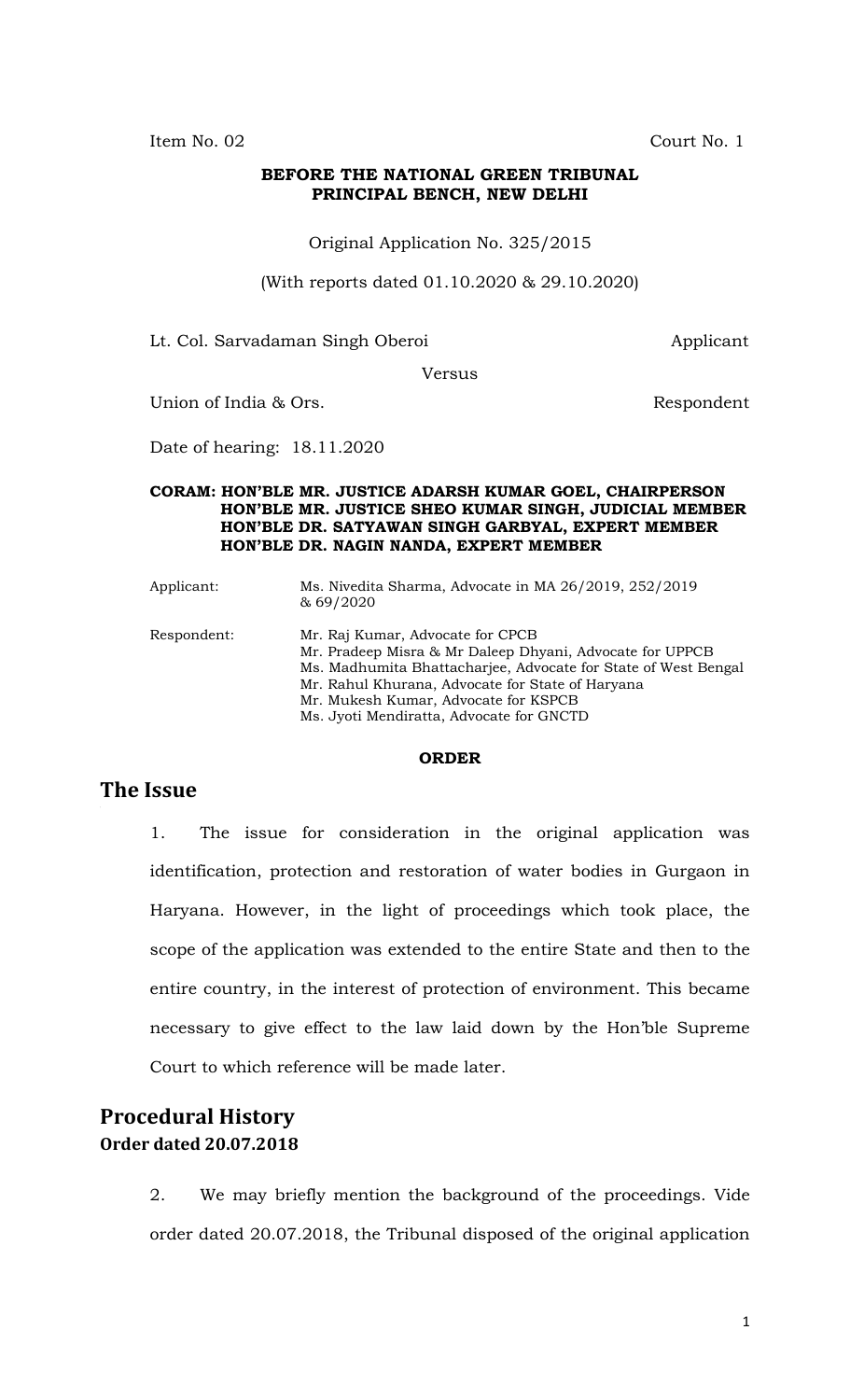Item No. 02 Court No. 1

#### **BEFORE THE NATIONAL GREEN TRIBUNAL PRINCIPAL BENCH, NEW DELHI**

Original Application No. 325/2015

(With reports dated 01.10.2020 & 29.10.2020)

Lt. Col. Sarvadaman Singh Oberoi **Applicant** 

Versus

Union of India & Ors. Some and the Second Euler Section 2. Respondent

Date of hearing: 18.11.2020

#### **CORAM: HON'BLE MR. JUSTICE ADARSH KUMAR GOEL, CHAIRPERSON HON'BLE MR. JUSTICE SHEO KUMAR SINGH, JUDICIAL MEMBER HON'BLE DR. SATYAWAN SINGH GARBYAL, EXPERT MEMBER HON'BLE DR. NAGIN NANDA, EXPERT MEMBER**

| Applicant:  | Ms. Nivedita Sharma, Advocate in MA 26/2019, 252/2019<br>& 69/2020                                                                                                                                                                                         |
|-------------|------------------------------------------------------------------------------------------------------------------------------------------------------------------------------------------------------------------------------------------------------------|
| Respondent: | Mr. Raj Kumar, Advocate for CPCB<br>Mr. Pradeep Misra & Mr Daleep Dhyani, Advocate for UPPCB<br>Ms. Madhumita Bhattacharjee, Advocate for State of West Bengal<br>Mr. Rahul Khurana, Advocate for State of Haryana<br>Mr. Mukesh Kumar, Advocate for KSPCB |

Ms. Jyoti Mendiratta, Advocate for GNCTD

#### **ORDER**

### **The Issue**

1. The issue for consideration in the original application was identification, protection and restoration of water bodies in Gurgaon in Haryana. However, in the light of proceedings which took place, the scope of the application was extended to the entire State and then to the entire country, in the interest of protection of environment. This became necessary to give effect to the law laid down by the Hon'ble Supreme Court to which reference will be made later.

# **Procedural History Order dated 20.07.2018**

2. We may briefly mention the background of the proceedings. Vide order dated 20.07.2018, the Tribunal disposed of the original application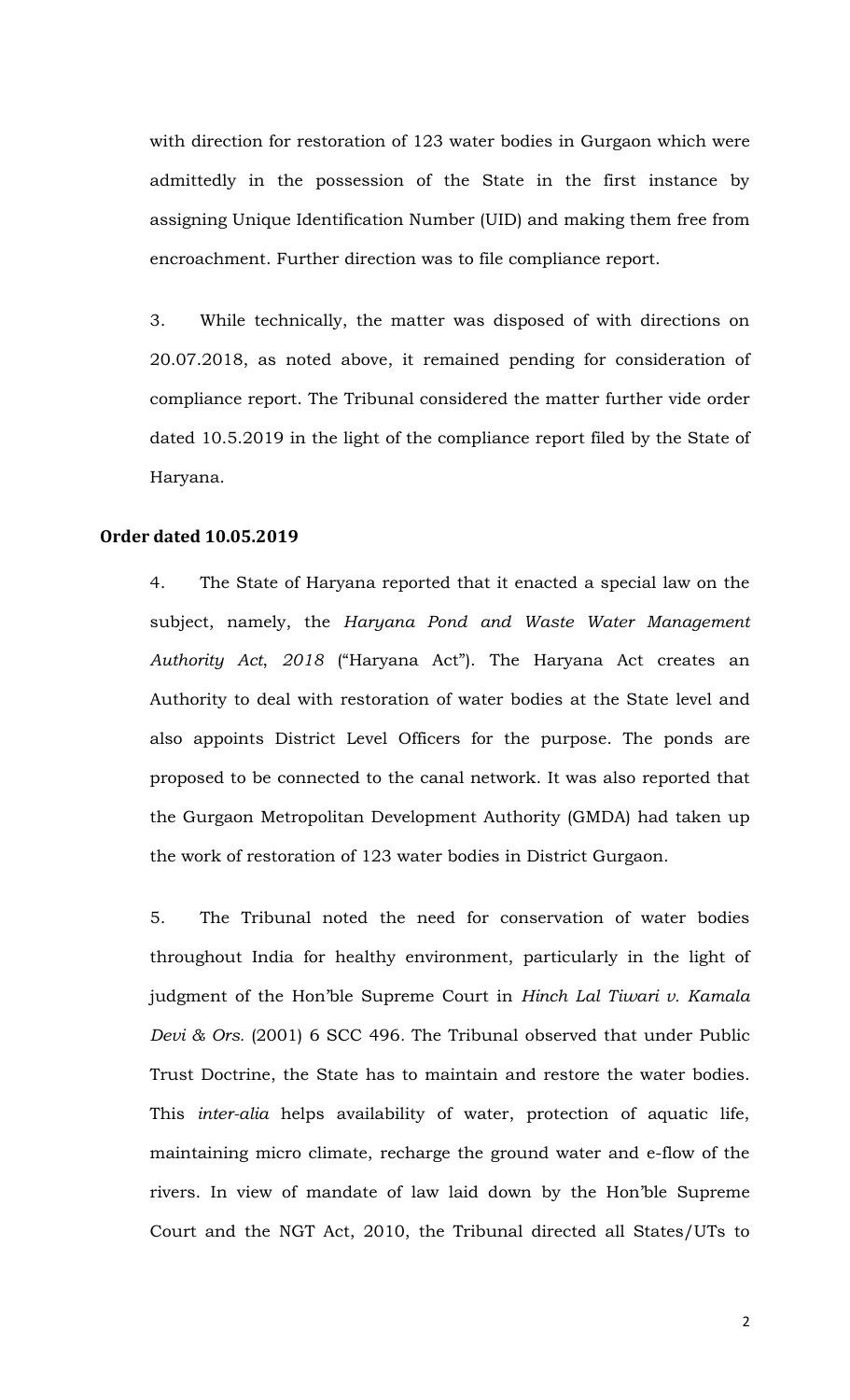with direction for restoration of 123 water bodies in Gurgaon which were admittedly in the possession of the State in the first instance by assigning Unique Identification Number (UID) and making them free from encroachment. Further direction was to file compliance report.

3. While technically, the matter was disposed of with directions on 20.07.2018, as noted above, it remained pending for consideration of compliance report. The Tribunal considered the matter further vide order dated 10.5.2019 in the light of the compliance report filed by the State of Haryana.

#### **Order dated 10.05.2019**

4. The State of Haryana reported that it enacted a special law on the subject, namely, the *Haryana Pond and Waste Water Management Authority Act*, *2018* ("Haryana Act"). The Haryana Act creates an Authority to deal with restoration of water bodies at the State level and also appoints District Level Officers for the purpose. The ponds are proposed to be connected to the canal network. It was also reported that the Gurgaon Metropolitan Development Authority (GMDA) had taken up the work of restoration of 123 water bodies in District Gurgaon.

5. The Tribunal noted the need for conservation of water bodies throughout India for healthy environment, particularly in the light of judgment of the Hon'ble Supreme Court in *Hinch Lal Tiwari v. Kamala Devi & Ors.* (2001) 6 SCC 496*.* The Tribunal observed that under Public Trust Doctrine, the State has to maintain and restore the water bodies. This *inter-alia* helps availability of water, protection of aquatic life, maintaining micro climate, recharge the ground water and e-flow of the rivers. In view of mandate of law laid down by the Hon'ble Supreme Court and the NGT Act, 2010, the Tribunal directed all States/UTs to

2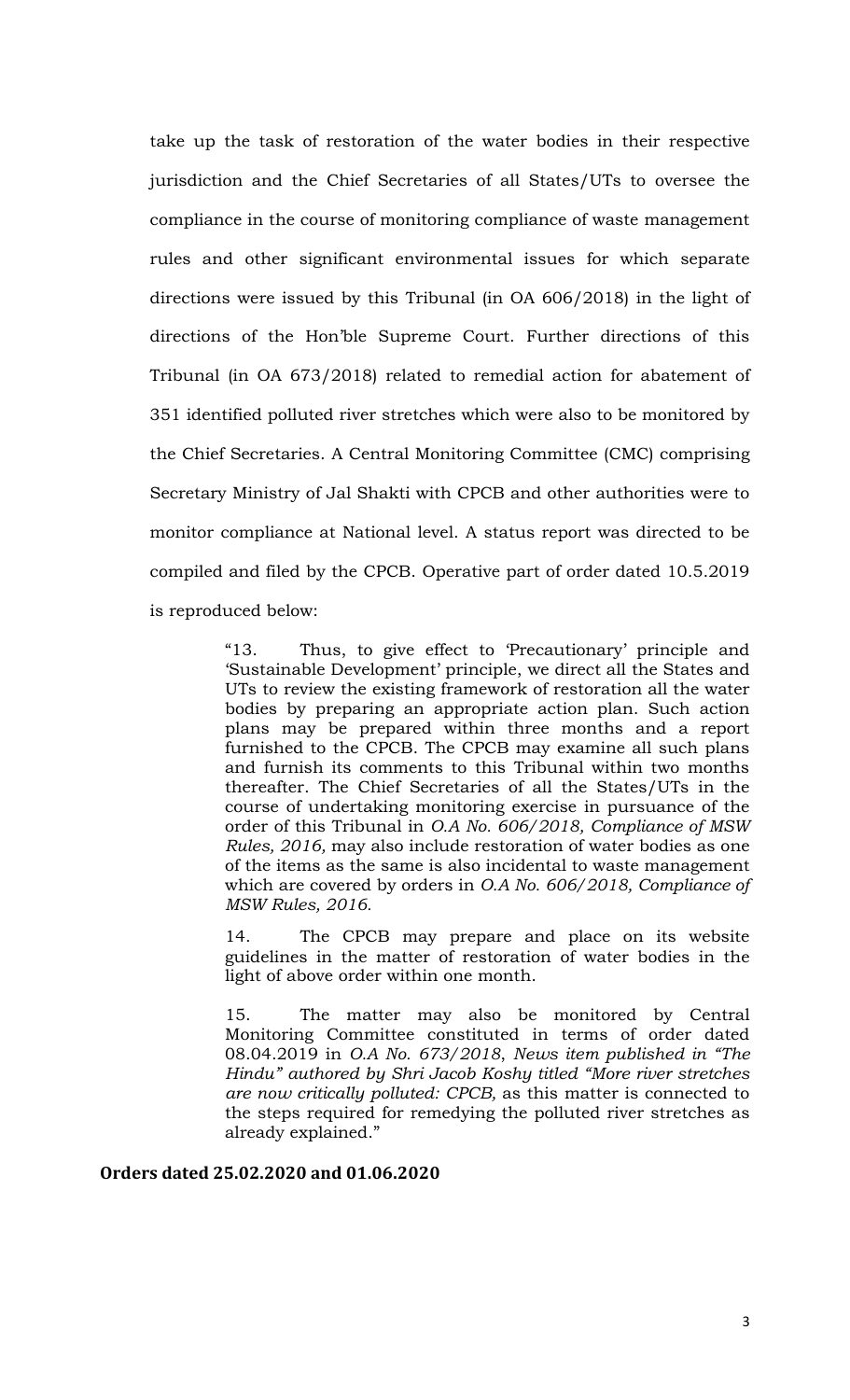take up the task of restoration of the water bodies in their respective jurisdiction and the Chief Secretaries of all States/UTs to oversee the compliance in the course of monitoring compliance of waste management rules and other significant environmental issues for which separate directions were issued by this Tribunal (in OA 606/2018) in the light of directions of the Hon'ble Supreme Court. Further directions of this Tribunal (in OA 673/2018) related to remedial action for abatement of 351 identified polluted river stretches which were also to be monitored by the Chief Secretaries. A Central Monitoring Committee (CMC) comprising Secretary Ministry of Jal Shakti with CPCB and other authorities were to monitor compliance at National level. A status report was directed to be compiled and filed by the CPCB. Operative part of order dated 10.5.2019 is reproduced below:

> "13. Thus, to give effect to 'Precautionary' principle and 'Sustainable Development' principle, we direct all the States and UTs to review the existing framework of restoration all the water bodies by preparing an appropriate action plan. Such action plans may be prepared within three months and a report furnished to the CPCB. The CPCB may examine all such plans and furnish its comments to this Tribunal within two months thereafter. The Chief Secretaries of all the States/UTs in the course of undertaking monitoring exercise in pursuance of the order of this Tribunal in *O.A No. 606/2018, Compliance of MSW Rules, 2016,* may also include restoration of water bodies as one of the items as the same is also incidental to waste management which are covered by orders in *O.A No. 606/2018, Compliance of MSW Rules, 2016.*

> 14. The CPCB may prepare and place on its website guidelines in the matter of restoration of water bodies in the light of above order within one month.

> 15. The matter may also be monitored by Central Monitoring Committee constituted in terms of order dated 08.04.2019 in *O.A No. 673/2018*, *News item published in "The Hindu" authored by Shri Jacob Koshy titled "More river stretches are now critically polluted: CPCB,* as this matter is connected to the steps required for remedying the polluted river stretches as already explained."

**Orders dated 25.02.2020 and 01.06.2020**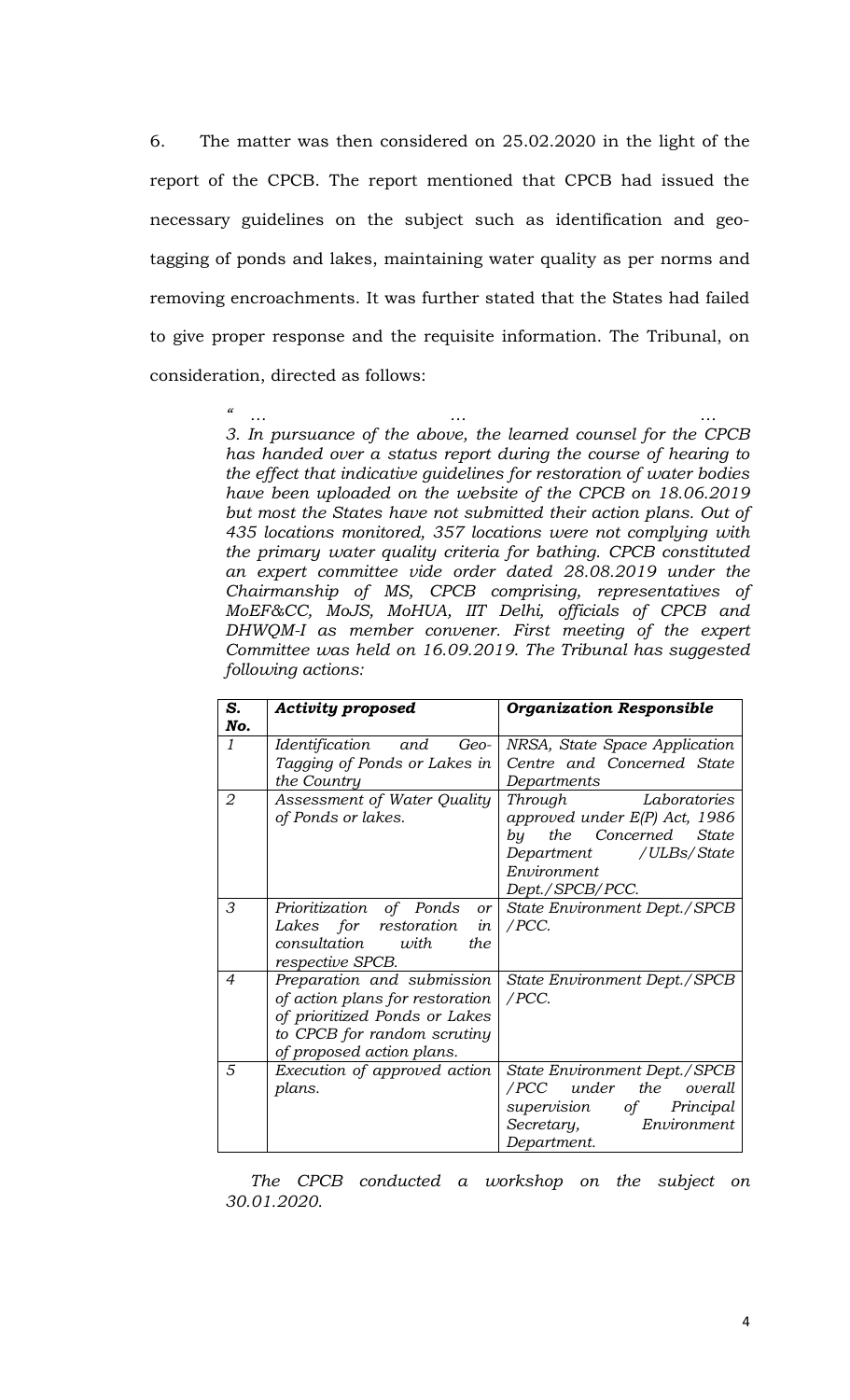6. The matter was then considered on 25.02.2020 in the light of the report of the CPCB. The report mentioned that CPCB had issued the necessary guidelines on the subject such as identification and geotagging of ponds and lakes, maintaining water quality as per norms and removing encroachments. It was further stated that the States had failed to give proper response and the requisite information. The Tribunal, on consideration, directed as follows:

> *" … … … 3. In pursuance of the above, the learned counsel for the CPCB has handed over a status report during the course of hearing to the effect that indicative guidelines for restoration of water bodies have been uploaded on the website of the CPCB on 18.06.2019 but most the States have not submitted their action plans. Out of 435 locations monitored, 357 locations were not complying with the primary water quality criteria for bathing. CPCB constituted an expert committee vide order dated 28.08.2019 under the Chairmanship of MS, CPCB comprising, representatives of MoEF&CC, MoJS, MoHUA, IIT Delhi, officials of CPCB and DHWQM-I as member convener. First meeting of the expert Committee was held on 16.09.2019. The Tribunal has suggested following actions:*

| S.<br>No.     | <b>Activity proposed</b>                   | <b>Organization Responsible</b> |
|---------------|--------------------------------------------|---------------------------------|
| $\mathcal{I}$ | Identification and<br>Geo-                 | NRSA, State Space Application   |
|               | Tagging of Ponds or Lakes in               | Centre and Concerned State      |
|               | the Country                                | Departments                     |
| 2             | Assessment of Water Quality                | Through Laboratories            |
|               | of Ponds or lakes.                         | approved under E(P) Act, 1986   |
|               |                                            | the Concerned State<br>by       |
|               |                                            | Department / ULBs/State         |
|               |                                            | Environment                     |
|               |                                            | Dept./SPCB/PCC.                 |
| 3             | Prioritization of Ponds<br>or <sub>l</sub> | State Environment Dept./SPCB    |
|               | Lakes for restoration<br>in                | /PCC.                           |
|               | consultation<br>with<br>the                |                                 |
|               | respective SPCB.                           |                                 |
| 4             | Preparation and submission                 | State Environment Dept./SPCB    |
|               | of action plans for restoration            | /PCC.                           |
|               | of prioritized Ponds or Lakes              |                                 |
|               | to CPCB for random scrutiny                |                                 |
|               | of proposed action plans.                  |                                 |
| 5             | Execution of approved action               | State Environment Dept./SPCB    |
|               | plans.                                     | /PCC under the overall          |
|               |                                            | supervision of Principal        |
|               |                                            | Environment<br>Secretary,       |
|               |                                            | Department.                     |

*The CPCB conducted a workshop on the subject on 30.01.2020.*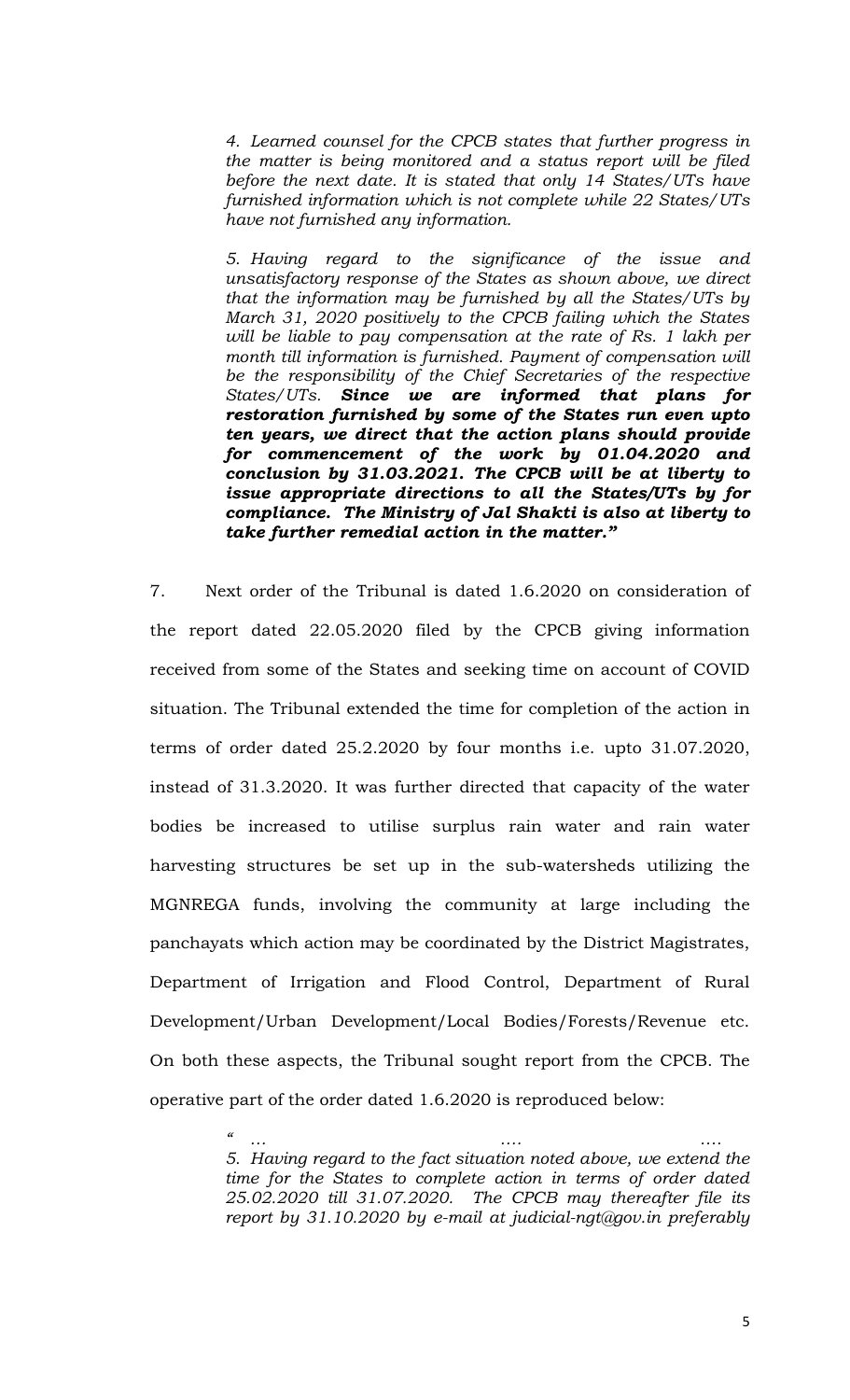*4. Learned counsel for the CPCB states that further progress in the matter is being monitored and a status report will be filed before the next date. It is stated that only 14 States/UTs have furnished information which is not complete while 22 States/UTs have not furnished any information.*

*5. Having regard to the significance of the issue and unsatisfactory response of the States as shown above, we direct that the information may be furnished by all the States/UTs by March 31, 2020 positively to the CPCB failing which the States will be liable to pay compensation at the rate of Rs. 1 lakh per month till information is furnished. Payment of compensation will be the responsibility of the Chief Secretaries of the respective States/UTs. Since we are informed that plans for restoration furnished by some of the States run even upto ten years, we direct that the action plans should provide for commencement of the work by 01.04.2020 and conclusion by 31.03.2021. The CPCB will be at liberty to issue appropriate directions to all the States/UTs by for compliance. The Ministry of Jal Shakti is also at liberty to take further remedial action in the matter."* 

7. Next order of the Tribunal is dated 1.6.2020 on consideration of the report dated 22.05.2020 filed by the CPCB giving information received from some of the States and seeking time on account of COVID situation. The Tribunal extended the time for completion of the action in terms of order dated 25.2.2020 by four months i.e. upto 31.07.2020, instead of 31.3.2020. It was further directed that capacity of the water bodies be increased to utilise surplus rain water and rain water harvesting structures be set up in the sub-watersheds utilizing the MGNREGA funds, involving the community at large including the panchayats which action may be coordinated by the District Magistrates, Department of Irrigation and Flood Control, Department of Rural Development/Urban Development/Local Bodies/Forests/Revenue etc. On both these aspects, the Tribunal sought report from the CPCB. The operative part of the order dated 1.6.2020 is reproduced below:

> *" … …. …. 5. Having regard to the fact situation noted above, we extend the time for the States to complete action in terms of order dated 25.02.2020 till 31.07.2020. The CPCB may thereafter file its report by 31.10.2020 by e-mail at judicial-ngt@gov.in preferably*

> > 5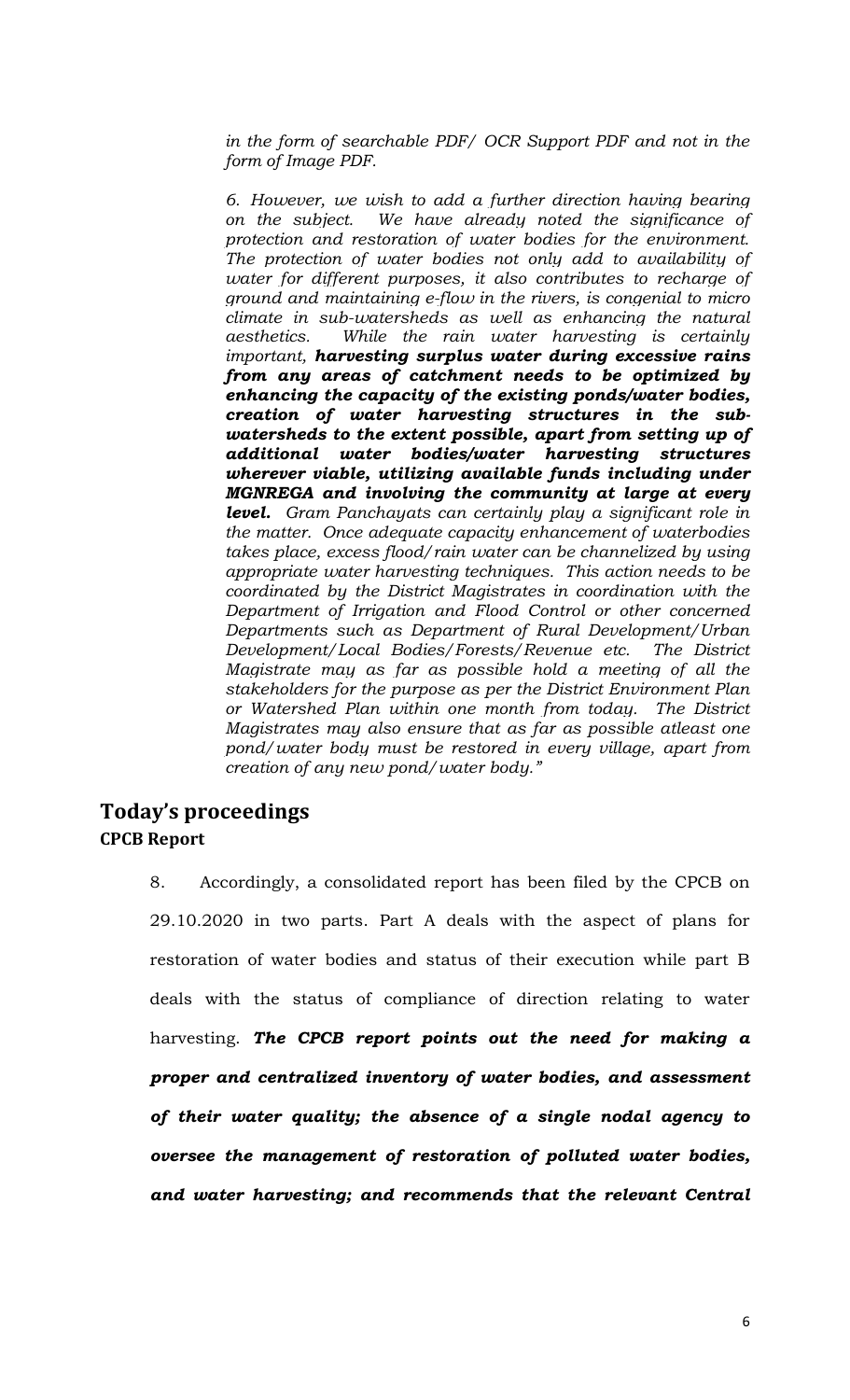*in the form of searchable PDF/ OCR Support PDF and not in the form of Image PDF.*

*6. However, we wish to add a further direction having bearing on the subject. We have already noted the significance of protection and restoration of water bodies for the environment. The protection of water bodies not only add to availability of water for different purposes, it also contributes to recharge of ground and maintaining e-flow in the rivers, is congenial to micro climate in sub-watersheds as well as enhancing the natural aesthetics. While the rain water harvesting is certainly important, harvesting surplus water during excessive rains from any areas of catchment needs to be optimized by enhancing the capacity of the existing ponds/water bodies, creation of water harvesting structures in the subwatersheds to the extent possible, apart from setting up of additional water bodies/water harvesting structures wherever viable, utilizing available funds including under MGNREGA and involving the community at large at every level. Gram Panchayats can certainly play a significant role in the matter. Once adequate capacity enhancement of waterbodies takes place, excess flood/rain water can be channelized by using appropriate water harvesting techniques. This action needs to be coordinated by the District Magistrates in coordination with the Department of Irrigation and Flood Control or other concerned Departments such as Department of Rural Development/Urban Development/Local Bodies/Forests/Revenue etc. The District Magistrate may as far as possible hold a meeting of all the stakeholders for the purpose as per the District Environment Plan or Watershed Plan within one month from today. The District Magistrates may also ensure that as far as possible atleast one pond/water body must be restored in every village, apart from creation of any new pond/water body."* 

# **Today's proceedings CPCB Report**

8. Accordingly, a consolidated report has been filed by the CPCB on 29.10.2020 in two parts. Part A deals with the aspect of plans for restoration of water bodies and status of their execution while part B deals with the status of compliance of direction relating to water harvesting. *The CPCB report points out the need for making a proper and centralized inventory of water bodies, and assessment of their water quality; the absence of a single nodal agency to oversee the management of restoration of polluted water bodies, and water harvesting; and recommends that the relevant Central*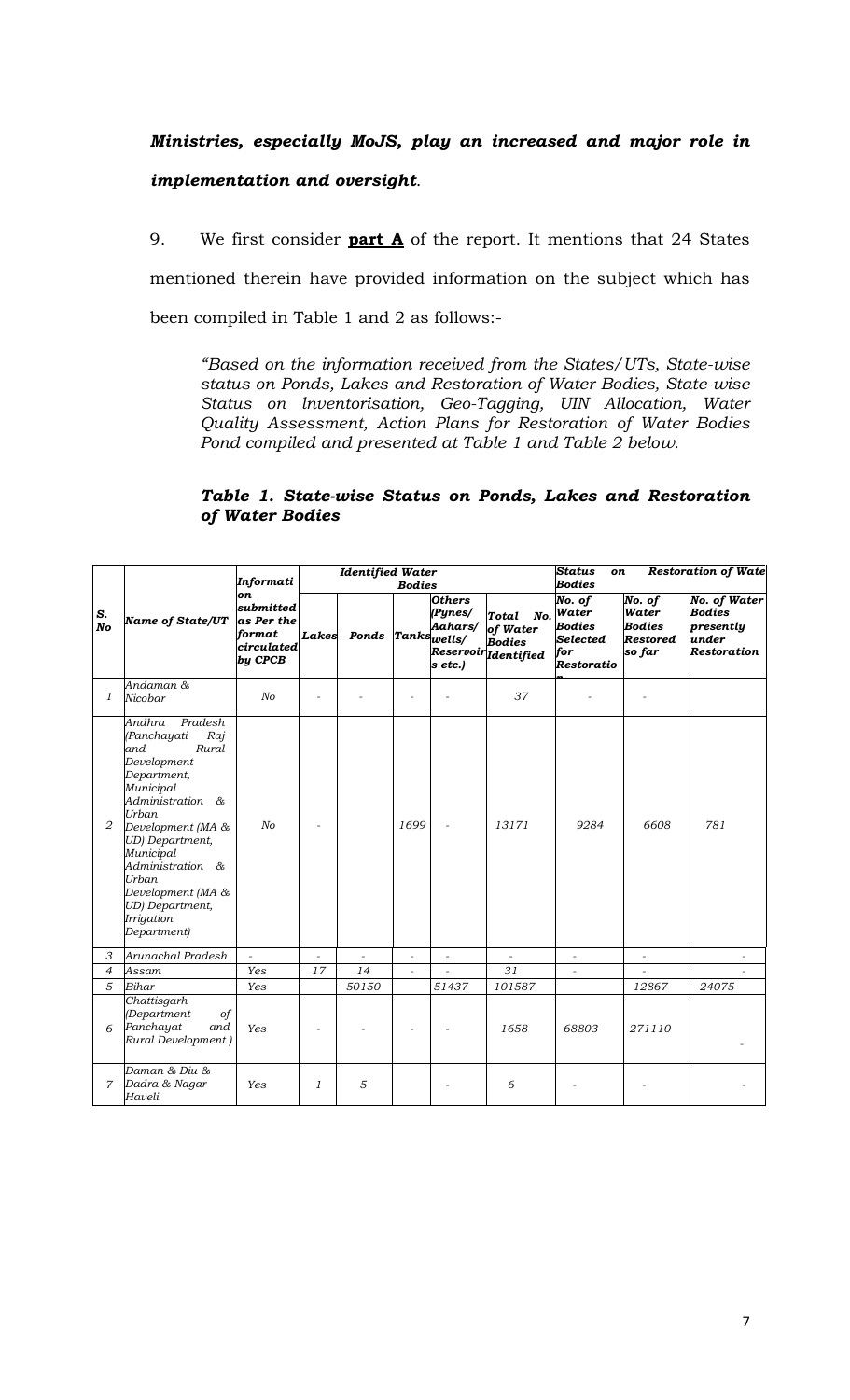# *Ministries, especially MoJS, play an increased and major role in implementation and oversight*.

9. We first consider **part A** of the report. It mentions that 24 States mentioned therein have provided information on the subject which has been compiled in Table 1 and 2 as follows:-

*"Based on the information received from the States/UTs, State-wise status on Ponds, Lakes and Restoration of Water Bodies, State-wise Status on lnventorisation, Geo-Tagging, UIN Allocation, Water Quality Assessment, Action Plans for Restoration of Water Bodies Pond compiled and presented at Table 1 and Table 2 below.*

#### *Table 1. State-wise Status on Ponds, Lakes and Restoration of Water Bodies*

|                |                                                                                                                                                                                                                                                                                         | Informati                                                        |          | <b>Identified Water</b> | <b>Bodies</b> |                                                | <b>Status</b><br><b>Restoration of Wate</b><br>on<br><b>Bodies</b> |                                                                       |                                                               |                                                                                  |
|----------------|-----------------------------------------------------------------------------------------------------------------------------------------------------------------------------------------------------------------------------------------------------------------------------------------|------------------------------------------------------------------|----------|-------------------------|---------------|------------------------------------------------|--------------------------------------------------------------------|-----------------------------------------------------------------------|---------------------------------------------------------------|----------------------------------------------------------------------------------|
| S.<br>No       | <b>Name of State/UT</b>                                                                                                                                                                                                                                                                 | on<br>submitted<br>as Per the<br>format<br>circulated<br>by CPCB | Lakes    | Ponds Tankswells/       |               | <b>Others</b><br>(Pynes/<br>Aahars/<br>s etc.) | Total<br>of Water<br><b>Bodies</b><br>Reservoir Identified         | No. of<br>No. Water<br><b>Bodies</b><br>Selected<br>for<br>Restoratio | No. of<br>Water<br><b>Bodies</b><br><b>Restored</b><br>so far | <b>No. of Water</b><br><b>Bodies</b><br>presently<br>under<br><b>Restoration</b> |
| 1              | Andaman &<br>Nicobar                                                                                                                                                                                                                                                                    | N <sub>O</sub>                                                   | $\equiv$ |                         |               |                                                | 37                                                                 |                                                                       |                                                               |                                                                                  |
| 2              | Andhra<br>Pradesh<br>Raj<br>(Panchayati<br>and.<br>Rural<br>Development<br>Department,<br>Municipal<br>Administration &<br>Urban<br>Development (MA &<br>UD) Department,<br>Municipal<br>Administration &<br>Urban<br>Development (MA &<br>UD) Department,<br>Irrigation<br>Department) | No                                                               | $\equiv$ |                         | 1699          | $\bar{\phantom{a}}$                            | 13171                                                              | 9284                                                                  | 6608                                                          | 781                                                                              |
| 3              | Arunachal Pradesh                                                                                                                                                                                                                                                                       | $\overline{a}$                                                   |          |                         | L.            | $\overline{\phantom{a}}$                       |                                                                    | $\overline{\phantom{a}}$                                              | $\overline{a}$                                                |                                                                                  |
| $\overline{4}$ | Assam                                                                                                                                                                                                                                                                                   | Yes                                                              | 17       | 14                      | ÷,            |                                                | 31                                                                 | $\bar{\phantom{a}}$                                                   |                                                               |                                                                                  |
| 5              | Bihar                                                                                                                                                                                                                                                                                   | Yes                                                              |          | 50150                   |               | 51437                                          | 101587                                                             |                                                                       | 12867                                                         | 24075                                                                            |
| 6              | Chattisgarh<br>(Department<br>$\circ f$<br>Panchayat<br>and<br>Rural Development)                                                                                                                                                                                                       | Yes                                                              |          |                         |               |                                                | 1658                                                               | 68803                                                                 | 271110                                                        |                                                                                  |
| 7              | Daman & Diu &<br>Dadra & Nagar<br>Haveli                                                                                                                                                                                                                                                | Yes                                                              | 1        | 5                       |               |                                                | 6                                                                  |                                                                       |                                                               |                                                                                  |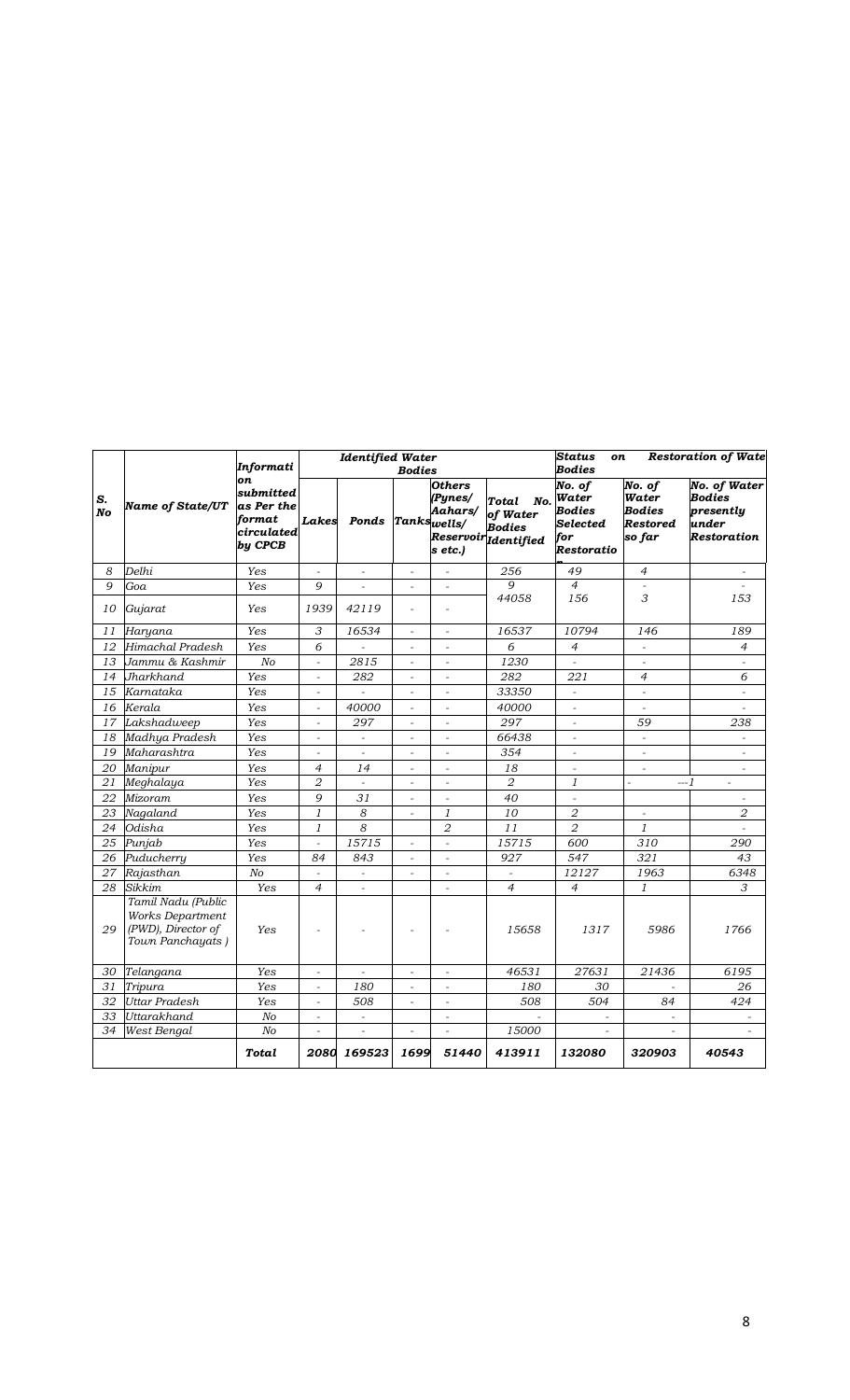|          |                                                                                  | Informati                                                        |                          | <b>Identified Water</b>  | <b>Bodies</b>            |                                                               |                                                                   | <b>Status</b><br><b>Restoration of Wate</b><br><b>on</b><br><b>Bodies</b> |                                                 |                                                                                  |  |
|----------|----------------------------------------------------------------------------------|------------------------------------------------------------------|--------------------------|--------------------------|--------------------------|---------------------------------------------------------------|-------------------------------------------------------------------|---------------------------------------------------------------------------|-------------------------------------------------|----------------------------------------------------------------------------------|--|
| S.<br>No | <b>Name of State/UT</b>                                                          | on<br>submitted<br>as Per the<br>format<br>circulated<br>by CPCB | Lakes                    | Ponds                    |                          | <b>Others</b><br>(Pynes/<br>Aahars/<br>Tankswells/<br>s etc.) | Total<br>No.<br>of Water<br><b>Bodies</b><br>Reservoir Identified | No. of<br>Water<br>Bodies<br>Selected<br>for<br>Restoratio                | No. of<br>Water<br>Bodies<br>Restored<br>so far | <b>No. of Water</b><br><b>Bodies</b><br>presently<br>under<br><b>Restoration</b> |  |
| 8        | Delhi                                                                            | Yes                                                              |                          |                          | $\bar{\phantom{a}}$      | $\overline{a}$                                                | 256                                                               | 49                                                                        | $\overline{4}$                                  |                                                                                  |  |
| 9        | Goa                                                                              | Yes                                                              | 9                        |                          |                          |                                                               | 9                                                                 | $\overline{4}$                                                            |                                                 |                                                                                  |  |
| 10       | Gujarat                                                                          | Yes                                                              | 1939                     | 42119                    | L.                       |                                                               | 44058                                                             | 156                                                                       | 3                                               | 153                                                                              |  |
| 11       | Haryana                                                                          | Yes                                                              | 3                        | 16534                    | $\overline{\phantom{a}}$ | $\overline{\phantom{a}}$                                      | 16537                                                             | 10794                                                                     | 146                                             | 189                                                                              |  |
| 12       | Himachal Pradesh                                                                 | Yes                                                              | 6                        |                          |                          |                                                               | 6                                                                 | $\overline{4}$                                                            |                                                 | 4                                                                                |  |
| 13       | Jammu & Kashmir                                                                  | No                                                               | $\overline{a}$           | $\frac{28}{15}$          | ÷,                       | $\overline{a}$                                                | 1230                                                              | $\sim$                                                                    | $\overline{\phantom{a}}$                        | $\sim$                                                                           |  |
| 14       | Jharkhand                                                                        | Yes                                                              | $\overline{a}$           | 282                      | ÷,                       | $\overline{a}$                                                | 282                                                               | 221                                                                       | $\overline{4}$                                  | 6                                                                                |  |
| 15       | Karnataka                                                                        | Yes                                                              |                          |                          |                          |                                                               | 33350                                                             | $\mathbf{r}$                                                              | $\overline{a}$                                  |                                                                                  |  |
| 16       | Kerala                                                                           | Yes                                                              | $\overline{\phantom{a}}$ | 40000                    | $\blacksquare$           | $\overline{\phantom{a}}$                                      | 40000                                                             | $\sim$                                                                    | $\overline{a}$                                  | $\sim$                                                                           |  |
| 17       | Lakshadweep                                                                      | Yes                                                              | $\overline{\phantom{a}}$ | 297                      | $\overline{\phantom{a}}$ | $\sim$                                                        | 297                                                               | $\bar{\phantom{a}}$                                                       | 59                                              | 238                                                                              |  |
| 18       | Madhya Pradesh                                                                   | Yes                                                              | $\sim$                   |                          | ÷,                       |                                                               | 66438                                                             | $\overline{a}$                                                            | $\bar{\phantom{a}}$                             |                                                                                  |  |
| 19       | Maharashtra                                                                      | Yes                                                              | $\sim$                   |                          | $\overline{a}$           | $\overline{a}$                                                | 354                                                               | $\overline{a}$                                                            | $\overline{a}$                                  | $\overline{a}$                                                                   |  |
| 20       | Manipur                                                                          | Yes                                                              | $\overline{4}$           | 14                       | $\overline{\phantom{a}}$ |                                                               | 18                                                                | $\sim$                                                                    |                                                 | $\overline{\phantom{a}}$                                                         |  |
| 21       | Meghalaya                                                                        | Yes                                                              | $\overline{2}$           | $\mathbb{L}$             | $\overline{a}$           | $\overline{\phantom{a}}$                                      | $\sqrt{2}$                                                        | $\mathfrak{1}$                                                            | --- 1<br>$\overline{a}$                         | $\equiv$                                                                         |  |
| 22       | Mizoram                                                                          | Yes                                                              | 9                        | 31                       | $\sim$                   | $\bar{\phantom{a}}$                                           | 40                                                                | $\bar{\phantom{a}}$                                                       |                                                 | $\overline{\phantom{a}}$                                                         |  |
| 23       | Nagaland                                                                         | Yes                                                              | 1                        | 8                        | $\overline{a}$           | 1                                                             | 10                                                                | 2                                                                         | $\overline{\phantom{a}}$                        | 2                                                                                |  |
| 24       | Odisha                                                                           | Yes                                                              | 1                        | 8                        |                          | $\overline{2}$                                                | 11                                                                | $\overline{2}$                                                            | 1                                               | $\sim$                                                                           |  |
| 25       | Punjab                                                                           | Yes                                                              | $\bar{\phantom{a}}$      | 15715                    | $\overline{\phantom{a}}$ | $\sim$                                                        | 15715                                                             | 600                                                                       | 310                                             | 290                                                                              |  |
| 26       | Puducherry                                                                       | Yes                                                              | 84                       | 843                      | $\overline{a}$           | $\overline{a}$                                                | 927                                                               | 547                                                                       | 321                                             | 43                                                                               |  |
| 27       | Rajasthan                                                                        | N <sub>O</sub>                                                   | $\overline{a}$           | $\overline{\phantom{a}}$ | $\sim$                   | $\overline{a}$                                                | $\overline{\phantom{a}}$                                          | 12127                                                                     | 1963                                            | 6348                                                                             |  |
| 28       | Sikkim                                                                           | Yes                                                              | $\overline{4}$           |                          |                          | $\overline{a}$                                                | 4                                                                 | $\overline{4}$                                                            | 1                                               | 3                                                                                |  |
| 29       | Tamil Nadu (Public<br>Works Department<br>(PWD), Director of<br>Town Panchayats) | Yes                                                              |                          |                          |                          |                                                               | 15658                                                             | 1317                                                                      | 5986                                            | 1766                                                                             |  |
| 30       | Telangana                                                                        | Yes                                                              |                          |                          | $\overline{\phantom{a}}$ |                                                               | 46531                                                             | 27631                                                                     | 21436                                           | 6195                                                                             |  |
| 31       | Tripura                                                                          | Yes                                                              |                          | 180                      | $\overline{\phantom{a}}$ | $\sim$                                                        | 180                                                               | 30                                                                        | $\overline{\phantom{a}}$                        | 26                                                                               |  |
| 32       | <b>Uttar Pradesh</b>                                                             | Yes                                                              |                          | 508                      |                          |                                                               | 508                                                               | 504                                                                       | 84                                              | 424                                                                              |  |
| 33       | Uttarakhand                                                                      | N <sub>O</sub>                                                   |                          | $\overline{\phantom{a}}$ |                          |                                                               |                                                                   |                                                                           |                                                 |                                                                                  |  |
| 34       | West Bengal                                                                      | N <sub>O</sub>                                                   | $\bar{\phantom{a}}$      | $\sim$                   | $\overline{\phantom{a}}$ | $\overline{\phantom{a}}$                                      | 15000                                                             | $\overline{\phantom{a}}$                                                  | $\blacksquare$                                  | $\equiv$                                                                         |  |
|          |                                                                                  | Total                                                            | 2080                     | 169523                   | 1699                     | 51440                                                         | 413911                                                            | 132080                                                                    | 320903                                          | 40543                                                                            |  |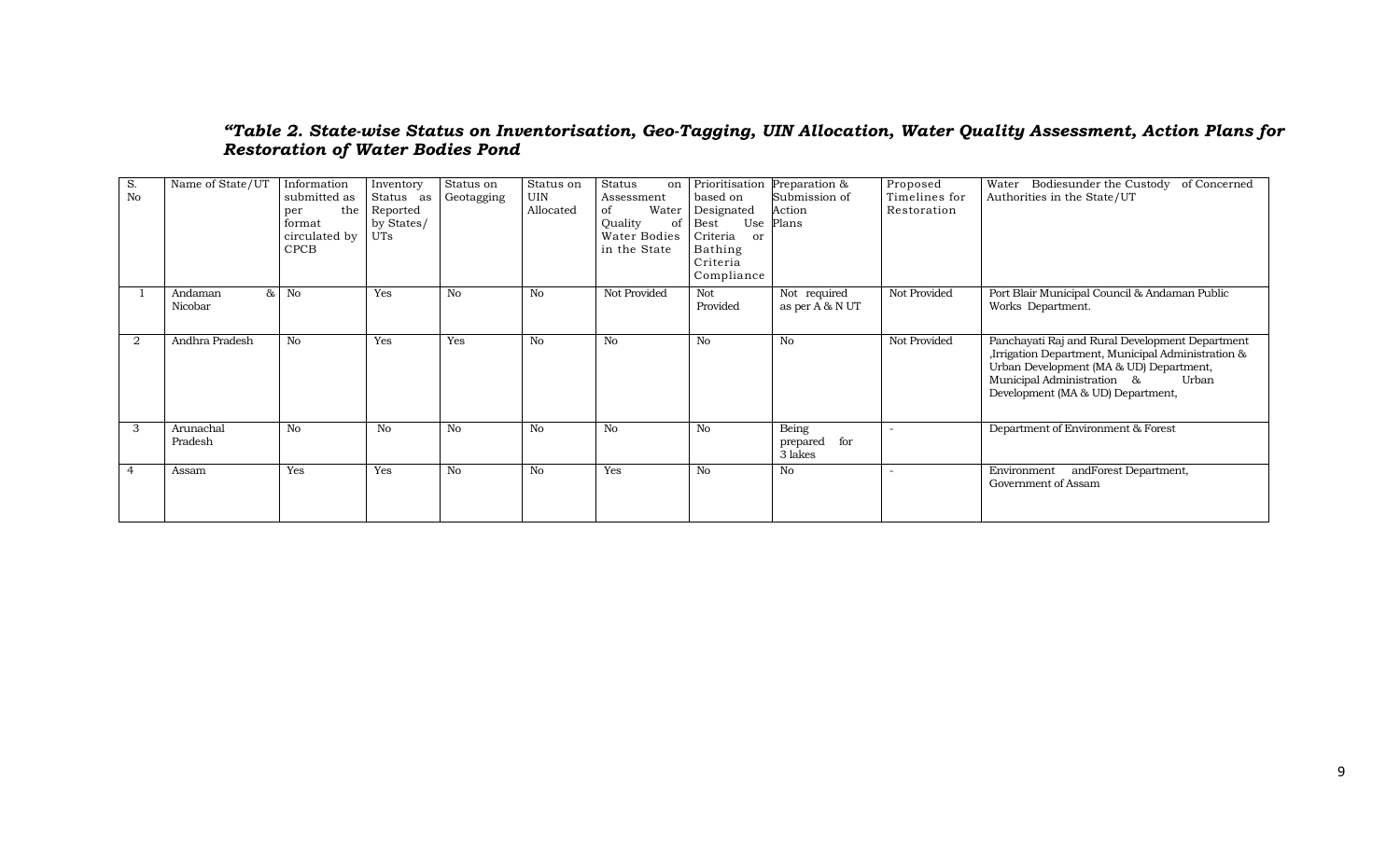#### *"Table 2. State-wise Status on Inventorisation, Geo-Tagging, UIN Allocation, Water Quality Assessment, Action Plans for Restoration of Water Bodies Pond*

| S.<br>N <sub>o</sub> | Name of State/UT                     | Information<br>submitted as<br>the<br>per<br>format<br>circulated by<br><b>CPCB</b> | Inventory<br>Status as<br>Reported<br>by States/<br><b>UTs</b> | Status on<br>Geotagging | Status on<br><b>UIN</b><br>Allocated | Status<br>on  <br>Assessment<br>Water<br>of<br>Quality<br>of<br>Water Bodies<br>in the State | Prioritisation<br>based on<br>Designated<br>Use<br>Best<br>Criteria<br>or<br>Bathing<br>Criteria<br>Compliance | Preparation &<br>Submission of<br>Action<br>Plans | Proposed<br>Timelines for<br>Restoration | Water Bodiesunder the Custody of Concerned<br>Authorities in the State/UT                                                                                                                                                    |
|----------------------|--------------------------------------|-------------------------------------------------------------------------------------|----------------------------------------------------------------|-------------------------|--------------------------------------|----------------------------------------------------------------------------------------------|----------------------------------------------------------------------------------------------------------------|---------------------------------------------------|------------------------------------------|------------------------------------------------------------------------------------------------------------------------------------------------------------------------------------------------------------------------------|
|                      | 8 <sub>5</sub><br>Andaman<br>Nicobar | No                                                                                  | Yes                                                            | No                      | No                                   | Not Provided                                                                                 | Not<br>Provided                                                                                                | Not required<br>as per A & N UT                   | Not Provided                             | Port Blair Municipal Council & Andaman Public<br>Works Department.                                                                                                                                                           |
| $\overline{2}$       | Andhra Pradesh                       | No                                                                                  | Yes                                                            | Yes                     | No                                   | No                                                                                           | No                                                                                                             | No                                                | Not Provided                             | Panchayati Raj and Rural Development Department<br>,Irrigation Department, Municipal Administration &<br>Urban Development (MA & UD) Department,<br>Municipal Administration &<br>Urban<br>Development (MA & UD) Department, |
| 3                    | Arunachal<br>Pradesh                 | No                                                                                  | No                                                             | No                      | No                                   | No                                                                                           | No                                                                                                             | Being<br>for<br>prepared<br>3 lakes               |                                          | Department of Environment & Forest                                                                                                                                                                                           |
| $\overline{4}$       | Assam                                | Yes                                                                                 | <b>Yes</b>                                                     | N <sub>o</sub>          | No                                   | Yes                                                                                          | No                                                                                                             | No                                                |                                          | Environment<br>andForest Department,<br>Government of Assam                                                                                                                                                                  |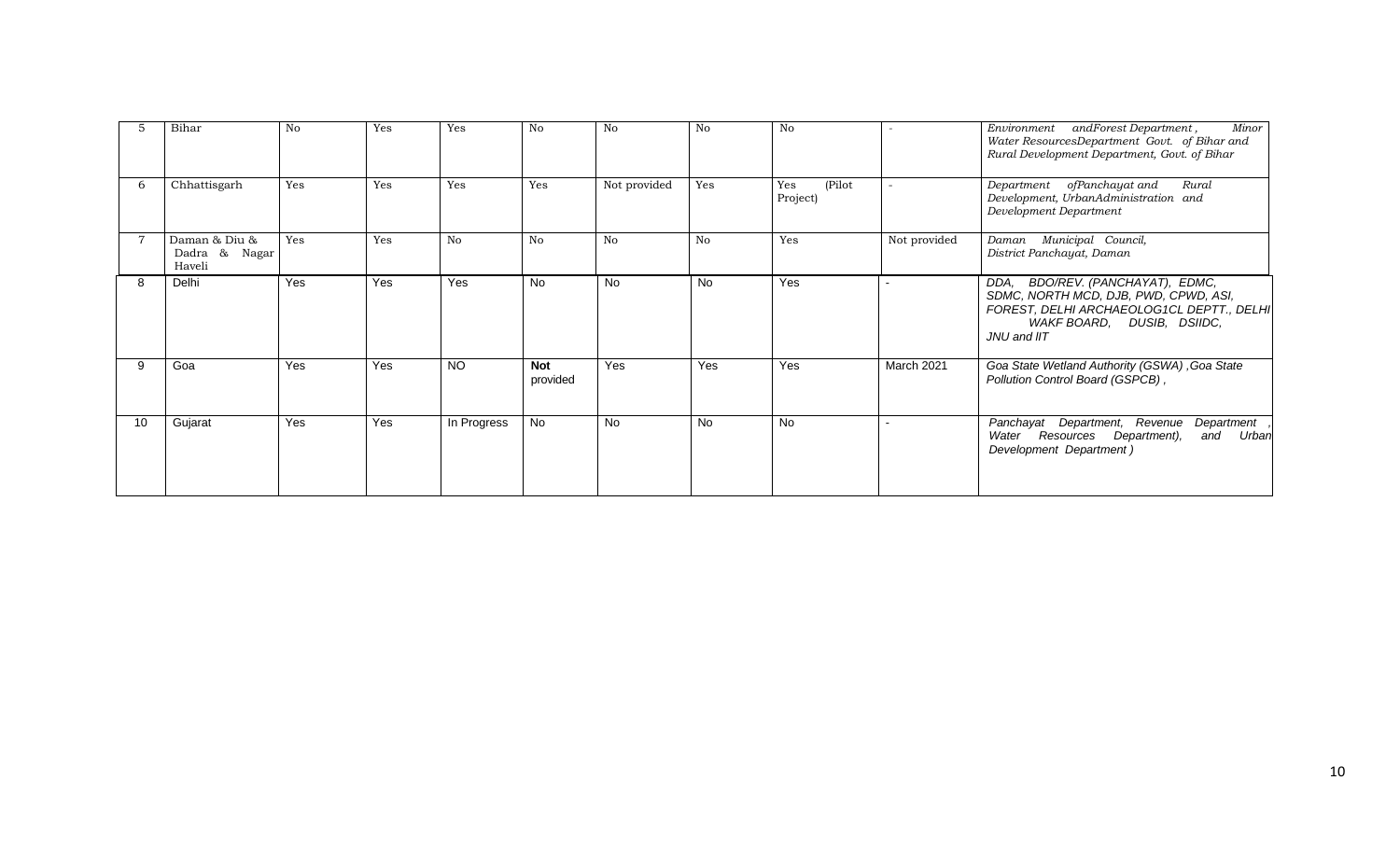|    | Bihar                                    | No  | Yes        | Yes             | No                     | No           | No        | No                        |              | Minor<br>Environment<br>andForest Department,<br>Water ResourcesDepartment Govt. of Bihar and<br>Rural Development Department, Govt. of Bihar                          |
|----|------------------------------------------|-----|------------|-----------------|------------------------|--------------|-----------|---------------------------|--------------|------------------------------------------------------------------------------------------------------------------------------------------------------------------------|
| h  | Chhattisgarh                             | Yes | Yes        | Yes             | Yes                    | Not provided | Yes       | Yes<br>(Pilot<br>Project) |              | Department ofPanchayat and<br>Rural<br>Development, UrbanAdministration and<br>Development Department                                                                  |
|    | Daman & Diu &<br>Dadra & Nagar<br>Haveli | Yes | Yes        | No.             | No                     | No           | No        | Yes                       | Not provided | Municipal Council,<br>Daman<br>District Panchayat, Daman                                                                                                               |
| 8  | Delhi                                    | Yes | Yes        | Yes             | No                     | <b>No</b>    | <b>No</b> | Yes                       |              | BDO/REV. (PANCHAYAT), EDMC,<br>DDA.<br>SDMC, NORTH MCD, DJB, PWD, CPWD, ASI,<br>FOREST, DELHI ARCHAEOLOG1CL DEPTT., DELHI<br>WAKF BOARD, DUSIB, DSIIDC,<br>JNU and IIT |
| 9  | Goa                                      | Yes | <b>Yes</b> | NO <sub>1</sub> | <b>Not</b><br>provided | <b>Yes</b>   | Yes       | Yes                       | March 2021   | Goa State Wetland Authority (GSWA), Goa State<br>Pollution Control Board (GSPCB),                                                                                      |
| 10 | Gujarat                                  | Yes | Yes        | In Progress     | No.                    | No           | <b>No</b> | <b>No</b>                 |              | Department, Revenue<br>Department<br>Panchayat<br>Water Resources Department),<br>and Urban<br>Development Department)                                                 |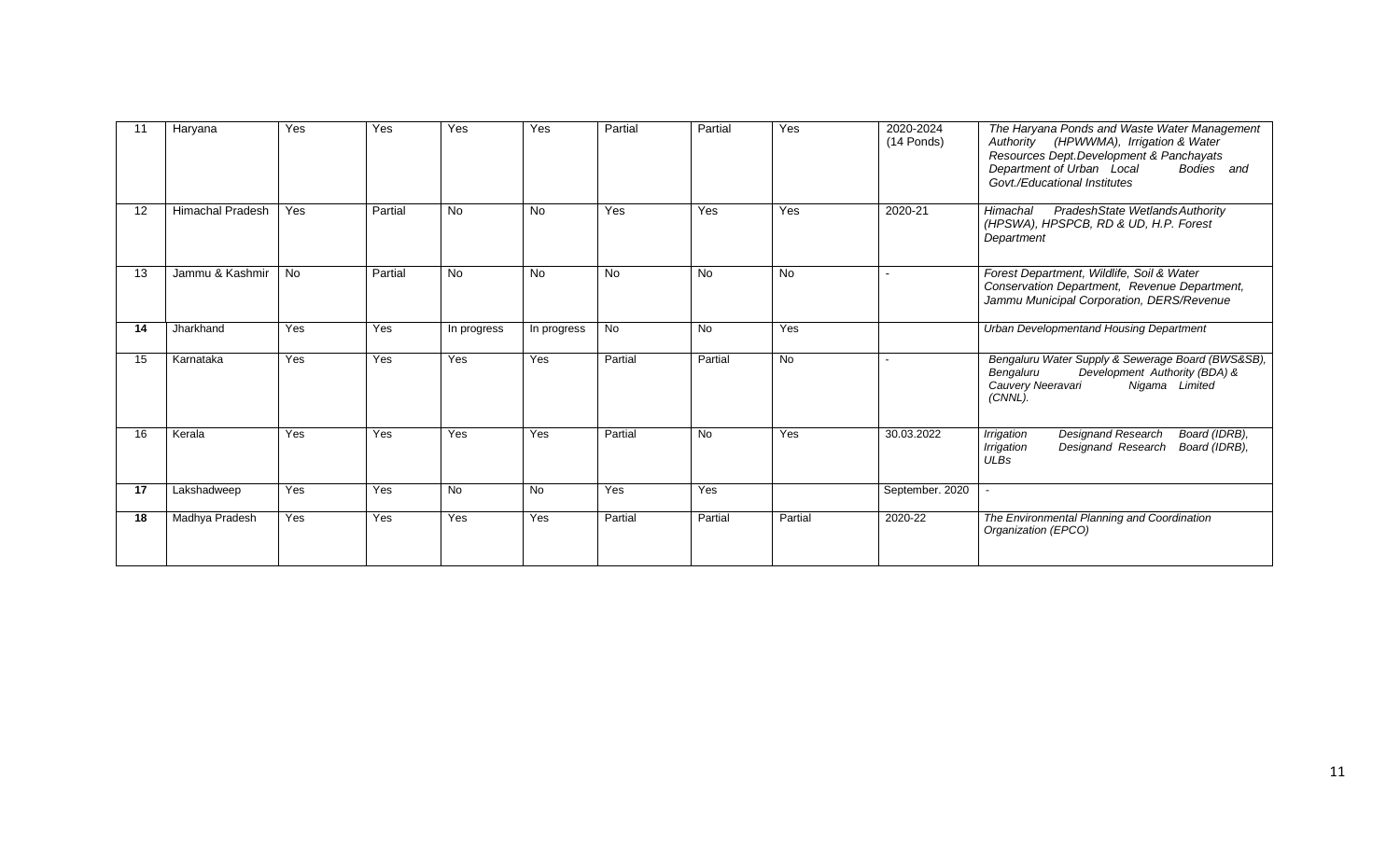| 11 | Haryana                 | Yes       | Yes     | Yes         | Yes         | Partial   | Partial   | Yes       | 2020-2024<br>$(14$ Ponds) | The Haryana Ponds and Waste Water Management<br>Authority (HPWWMA), Irrigation & Water<br>Resources Dept. Development & Panchayats<br>Department of Urban Local<br>Bodies and<br>Govt./Educational Institutes |
|----|-------------------------|-----------|---------|-------------|-------------|-----------|-----------|-----------|---------------------------|---------------------------------------------------------------------------------------------------------------------------------------------------------------------------------------------------------------|
| 12 | <b>Himachal Pradesh</b> | Yes       | Partial | <b>No</b>   | <b>No</b>   | Yes       | Yes       | Yes       | 2020-21                   | PradeshState Wetlands Authority<br>Himachal<br>(HPSWA), HPSPCB, RD & UD, H.P. Forest<br>Department                                                                                                            |
| 13 | Jammu & Kashmir         | <b>No</b> | Partial | No          | <b>No</b>   | <b>No</b> | <b>No</b> | <b>No</b> |                           | Forest Department, Wildlife, Soil & Water<br>Conservation Department, Revenue Department,<br>Jammu Municipal Corporation, DERS/Revenue                                                                        |
| 14 | Jharkhand               | Yes       | Yes     | In progress | In progress | <b>No</b> | <b>No</b> | Yes       |                           | <b>Urban Developmentand Housing Department</b>                                                                                                                                                                |
| 15 | Karnataka               | Yes       | Yes     | Yes         | Yes         | Partial   | Partial   | <b>No</b> |                           | Bengaluru Water Supply & Sewerage Board (BWS&SB),<br>Development Authority (BDA) &<br>Bengaluru<br>Nigama Limited<br>Cauvery Neeravari<br>(CNNL).                                                             |
| 16 | Kerala                  | Yes       | Yes     | Yes         | Yes         | Partial   | No        | Yes       | 30.03.2022                | <b>Designand Research</b><br>Board (IDRB),<br>Irrigation<br>Irrigation<br>Designand Research<br>Board (IDRB),<br><b>ULBs</b>                                                                                  |
| 17 | Lakshadweep             | Yes       | Yes     | <b>No</b>   | No          | Yes       | Yes       |           | September. 2020           |                                                                                                                                                                                                               |
| 18 | Madhya Pradesh          | Yes       | Yes     | Yes         | Yes         | Partial   | Partial   | Partial   | 2020-22                   | The Environmental Planning and Coordination<br>Organization (EPCO)                                                                                                                                            |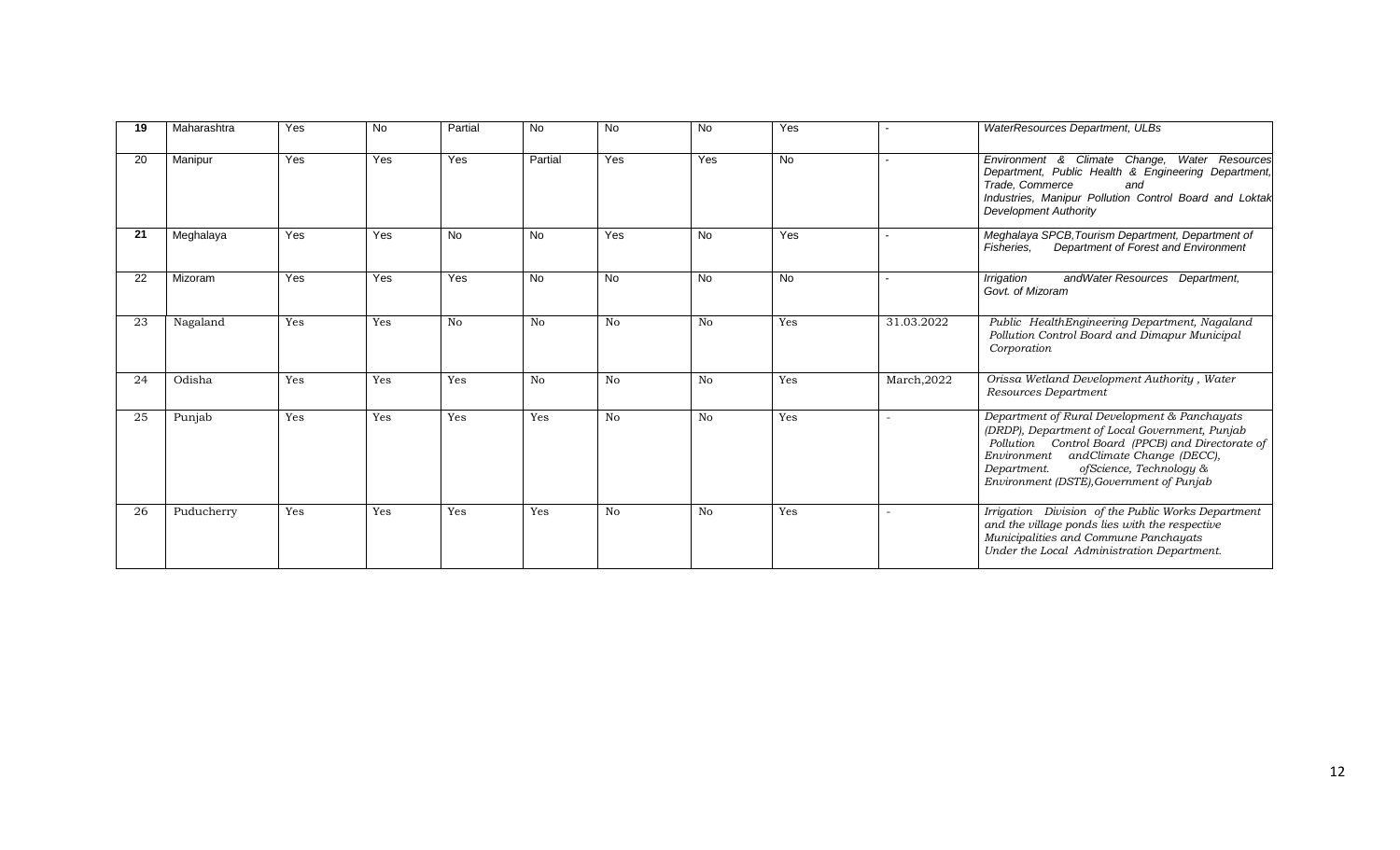| 19 | Maharashtra | Yes | <b>No</b> | Partial   | <b>No</b>      | No        | No        | Yes       |             | WaterResources Department, ULBs                                                                                                                                                                                                                                                     |
|----|-------------|-----|-----------|-----------|----------------|-----------|-----------|-----------|-------------|-------------------------------------------------------------------------------------------------------------------------------------------------------------------------------------------------------------------------------------------------------------------------------------|
| 20 | Manipur     | Yes | Yes       | Yes       | Partial        | Yes       | Yes       | <b>No</b> |             | Environment & Climate Change, Water Resources<br>Department, Public Health & Engineering Department,<br>Trade, Commerce<br>and<br>Industries, Manipur Pollution Control Board and Loktak<br><b>Development Authority</b>                                                            |
| 21 | Meghalaya   | Yes | Yes       | <b>No</b> | <b>No</b>      | Yes       | <b>No</b> | Yes       |             | Meghalaya SPCB, Tourism Department, Department of<br>Department of Forest and Environment<br>Fisheries.                                                                                                                                                                             |
| 22 | Mizoram     | Yes | Yes       | Yes       | <b>No</b>      | <b>No</b> | <b>No</b> | <b>No</b> |             | andWater Resources Department,<br>Irrigation<br>Govt. of Mizoram                                                                                                                                                                                                                    |
| 23 | Nagaland    | Yes | Yes       | No        | N <sub>0</sub> | No        | No        | Yes       | 31.03.2022  | Public HealthEngineering Department, Nagaland<br>Pollution Control Board and Dimapur Municipal<br>Corporation                                                                                                                                                                       |
| 24 | Odisha      | Yes | Yes       | Yes       | No             | No        | No        | Yes       | March, 2022 | Orissa Wetland Development Authority, Water<br>Resources Department                                                                                                                                                                                                                 |
| 25 | Punjab      | Yes | Yes       | Yes       | Yes            | No        | No        | Yes       |             | Department of Rural Development & Panchayats<br>(DRDP), Department of Local Government, Punjab<br>Pollution Control Board (PPCB) and Directorate of<br>Environment and Climate Change (DECC),<br>ofScience, Technology &<br>Department.<br>Environment (DSTE), Government of Punjab |
| 26 | Puducherry  | Yes | Yes       | Yes       | Yes            | No        | No        | Yes       |             | Irrigation Division of the Public Works Department<br>and the village ponds lies with the respective<br>Municipalities and Commune Panchayats<br>Under the Local Administration Department.                                                                                         |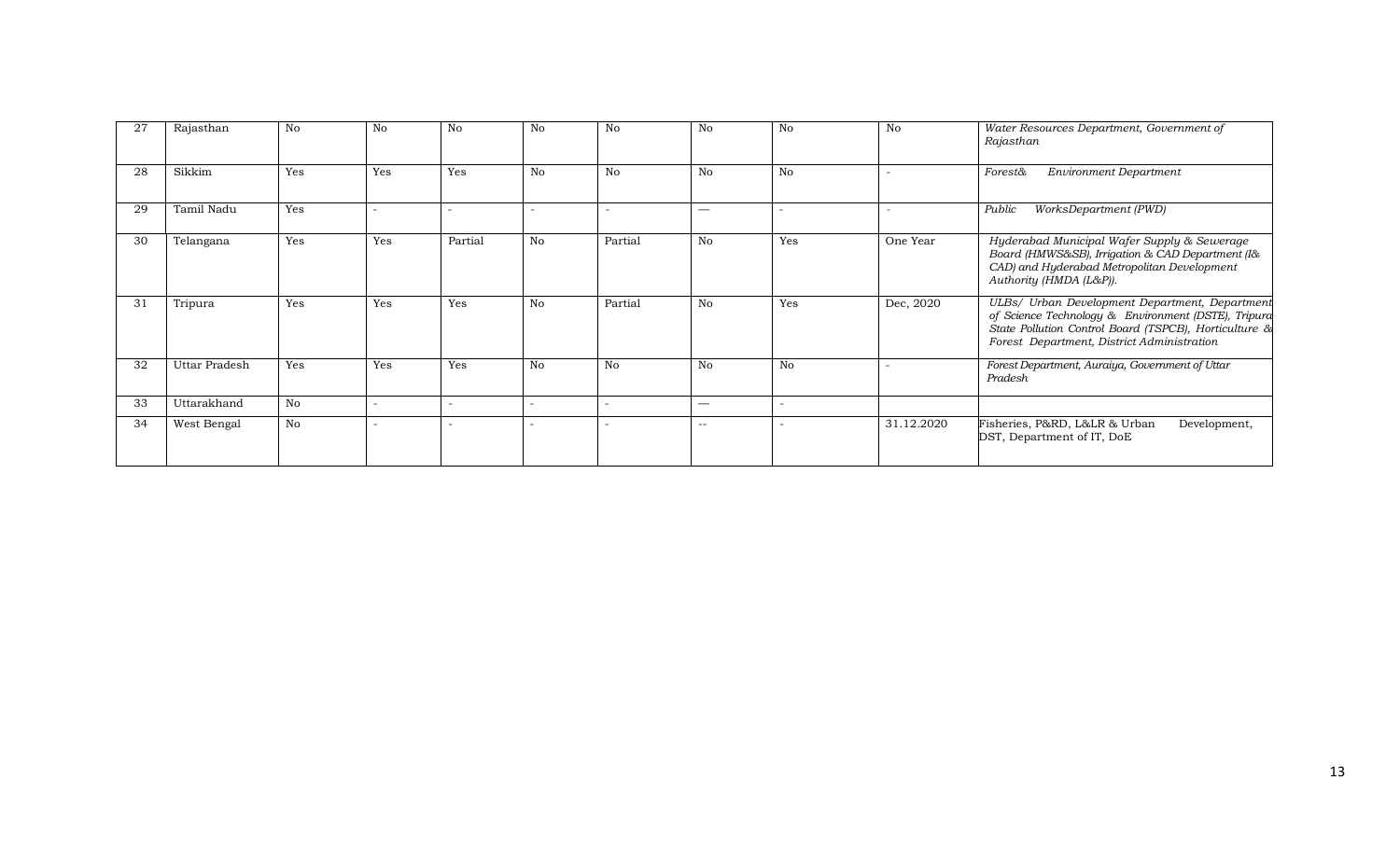| 27 | Rajasthan     | N <sub>0</sub> | No                       | No      | No | No                       | No    | No                       | No         | Water Resources Department, Government of<br>Rajasthan                                                                                                                                                       |
|----|---------------|----------------|--------------------------|---------|----|--------------------------|-------|--------------------------|------------|--------------------------------------------------------------------------------------------------------------------------------------------------------------------------------------------------------------|
| 28 | Sikkim        | Yes            | Yes                      | Yes     | No | No                       | No    | No                       |            | <b>Environment Department</b><br><b>Forest&amp;</b>                                                                                                                                                          |
| 29 | Tamil Nadu    | Yes            |                          |         |    |                          |       | $\overline{\phantom{0}}$ |            | WorksDepartment (PWD)<br>Public                                                                                                                                                                              |
| 30 | Telangana     | Yes            | Yes                      | Partial | No | Partial                  | No    | Yes                      | One Year   | Hyderabad Municipal Wafer Supply & Sewerage<br>Board (HMWS&SB), Irrigation & CAD Department (I&<br>CAD) and Hyderabad Metropolitan Development<br>Authority (HMDA (L&P)).                                    |
| 31 | Tripura       | Yes            | Yes                      | Yes     | No | Partial                  | No    | Yes                      | Dec, 2020  | ULBs/ Urban Development Department, Department<br>of Science Technology & Environment (DSTE), Tripura<br>State Pollution Control Board (TSPCB), Horticulture &<br>Forest Department, District Administration |
| 32 | Uttar Pradesh | Yes            | Yes                      | Yes     | No | No                       | No    | No                       |            | Forest Department, Auraiya, Government of Uttar<br>Pradesh                                                                                                                                                   |
| 33 | Uttarakhand   | No             | $\overline{\phantom{0}}$ |         |    | $\overline{\phantom{0}}$ |       | $\overline{a}$           |            |                                                                                                                                                                                                              |
| 34 | West Bengal   | No             |                          |         |    |                          | $- -$ | $\overline{\phantom{m}}$ | 31.12.2020 | Fisheries, P&RD, L&LR & Urban<br>Development,<br>DST, Department of IT, DoE                                                                                                                                  |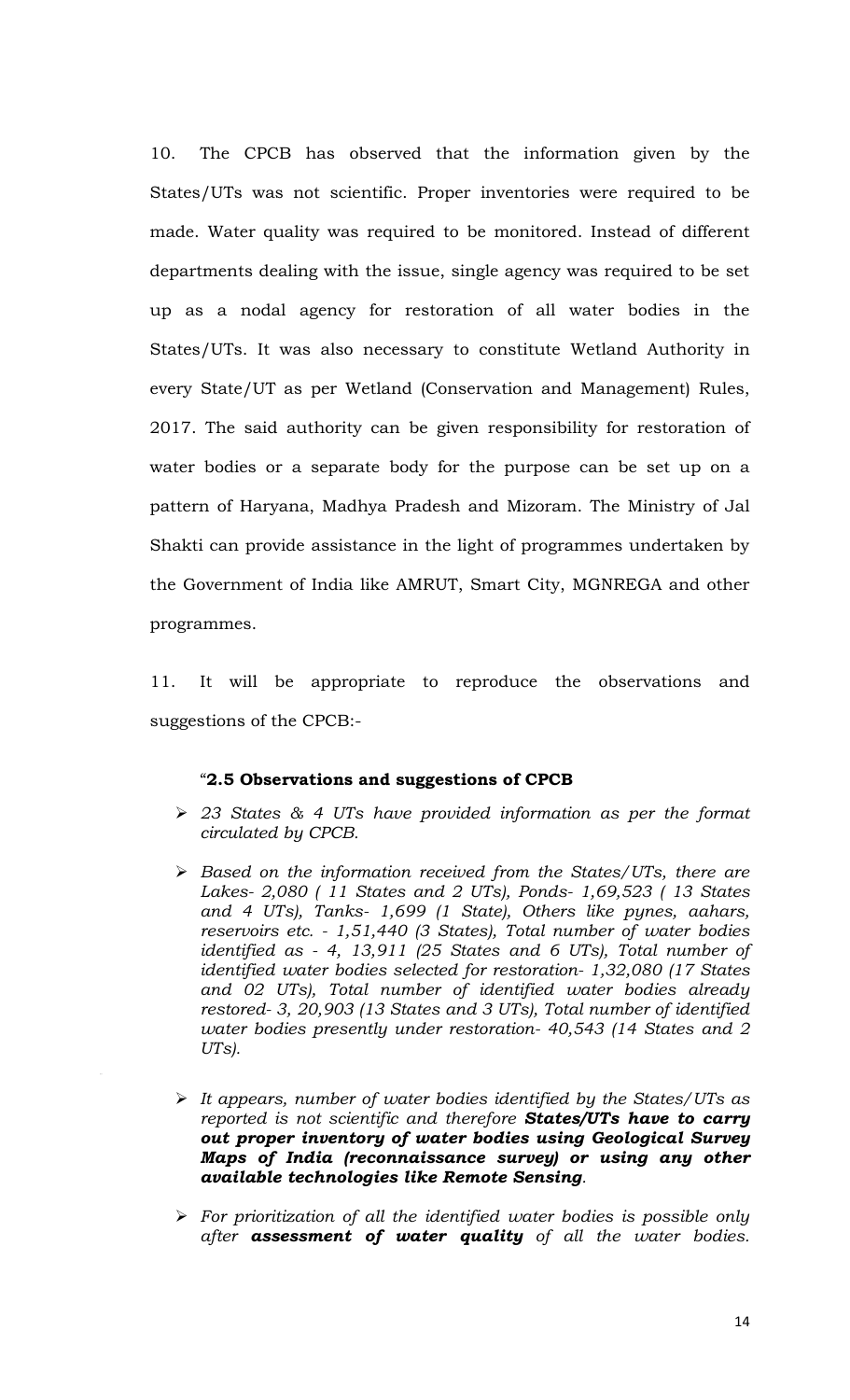10. The CPCB has observed that the information given by the States/UTs was not scientific. Proper inventories were required to be made. Water quality was required to be monitored. Instead of different departments dealing with the issue, single agency was required to be set up as a nodal agency for restoration of all water bodies in the States/UTs. It was also necessary to constitute Wetland Authority in every State/UT as per Wetland (Conservation and Management) Rules, 2017. The said authority can be given responsibility for restoration of water bodies or a separate body for the purpose can be set up on a pattern of Haryana, Madhya Pradesh and Mizoram. The Ministry of Jal Shakti can provide assistance in the light of programmes undertaken by the Government of India like AMRUT, Smart City, MGNREGA and other programmes.

11. It will be appropriate to reproduce the observations and suggestions of the CPCB:-

#### "**2.5 Observations and suggestions of CPCB**

- *23 States & 4 UTs have provided information as per the format circulated by CPCB.*
- *Based on the information received from the States/UTs, there are Lakes- 2,080 ( 11 States and 2 UTs), Ponds- 1,69,523 ( 13 States and 4 UTs), Tanks- 1,699 (1 State), Others like pynes, aahars, reservoirs etc. - 1,51,440 (3 States), Total number of water bodies identified as - 4, 13,911 (25 States and 6 UTs), Total number of identified water bodies selected for restoration- 1,32,080 (17 States and 02 UTs), Total number of identified water bodies already restored- 3, 20,903 (13 States and 3 UTs), Total number of identified water bodies presently under restoration- 40,543 (14 States and 2 UTs).*
- *It appears, number of water bodies identified by the States/UTs as reported is not scientific and therefore States/UTs have to carry out proper inventory of water bodies using Geological Survey Maps of India (reconnaissance survey) or using any other available technologies like Remote Sensing.*
- *For prioritization of all the identified water bodies is possible only after assessment of water quality of all the water bodies.*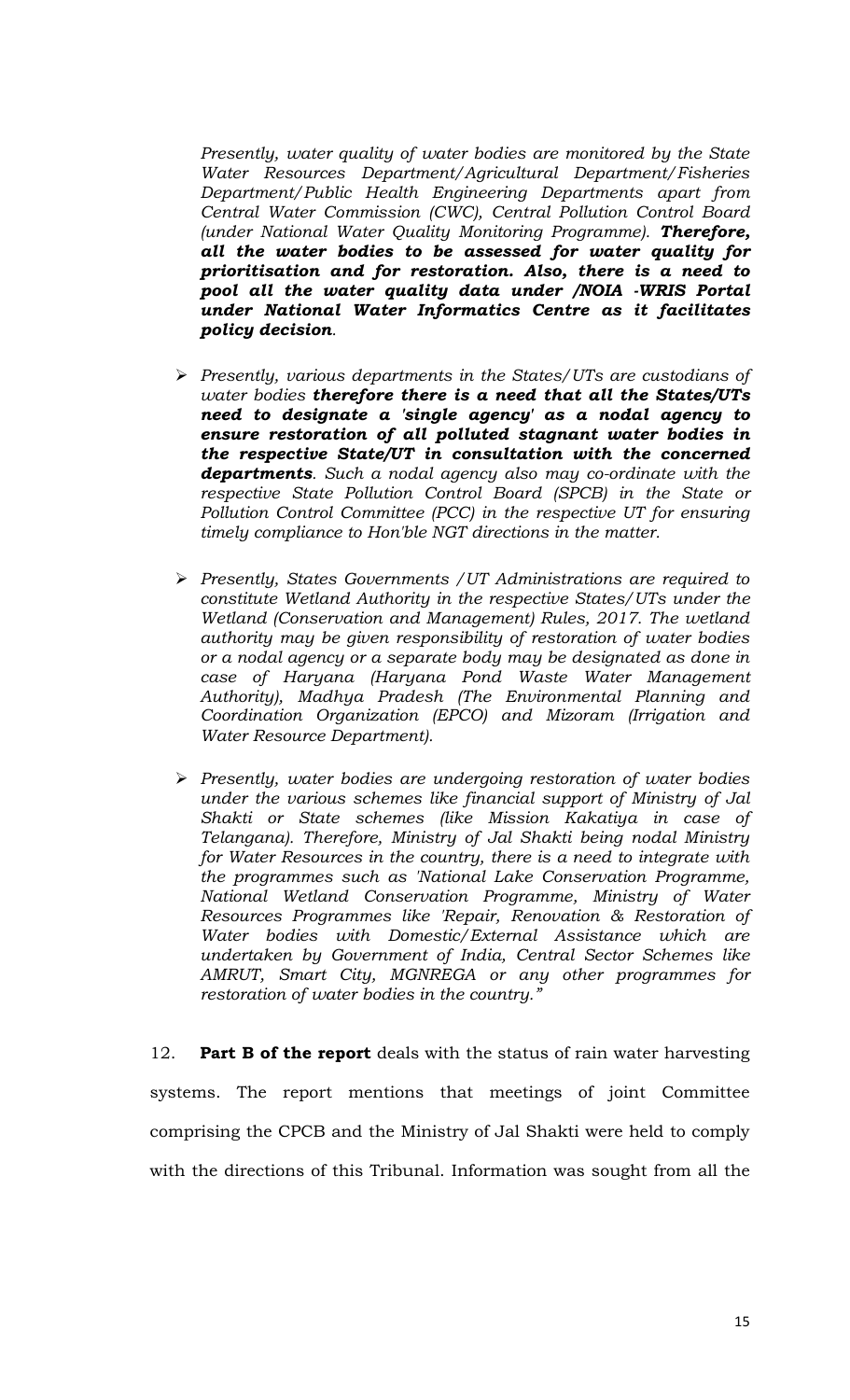*Presently, water quality of water bodies are monitored by the State Water Resources Department/Agricultural Department/Fisheries Department/Public Health Engineering Departments apart from Central Water Commission (CWC), Central Pollution Control Board (under National Water Quality Monitoring Programme). Therefore, all the water bodies to be assessed for water quality for prioritisation and for restoration. Also, there is a need to pool all the water quality data under /NOIA -WRIS Portal under National Water Informatics Centre as it facilitates policy decision.*

- *Presently, various departments in the States/UTs are custodians of water bodies therefore there is a need that all the States/UTs need to designate a 'single agency' as a nodal agency to ensure restoration of all polluted stagnant water bodies in the respective State/UT in consultation with the concerned departments. Such a nodal agency also may co-ordinate with the respective State Pollution Control Board (SPCB) in the State or Pollution Control Committee (PCC) in the respective UT for ensuring timely compliance to Hon'ble NGT directions in the matter.*
- *Presently, States Governments /UT Administrations are required to constitute Wetland Authority in the respective States/UTs under the Wetland (Conservation and Management) Rules, 2017. The wetland authority may be given responsibility of restoration of water bodies or a nodal agency or a separate body may be designated as done in case of Haryana (Haryana Pond Waste Water Management Authority), Madhya Pradesh (The Environmental Planning and Coordination Organization (EPCO) and Mizoram (Irrigation and Water Resource Department).*
- *Presently, water bodies are undergoing restoration of water bodies under the various schemes like financial support of Ministry of Jal Shakti or State schemes (like Mission Kakatiya in case of Telangana). Therefore, Ministry of Jal Shakti being nodal Ministry for Water Resources in the country, there is a need to integrate with the programmes such as 'National Lake Conservation Programme, National Wetland Conservation Programme, Ministry of Water Resources Programmes like 'Repair, Renovation & Restoration of Water bodies with Domestic/External Assistance which are undertaken by Government of India, Central Sector Schemes like AMRUT, Smart City, MGNREGA or any other programmes for restoration of water bodies in the country."*

12. **Part B of the report** deals with the status of rain water harvesting systems. The report mentions that meetings of joint Committee comprising the CPCB and the Ministry of Jal Shakti were held to comply with the directions of this Tribunal. Information was sought from all the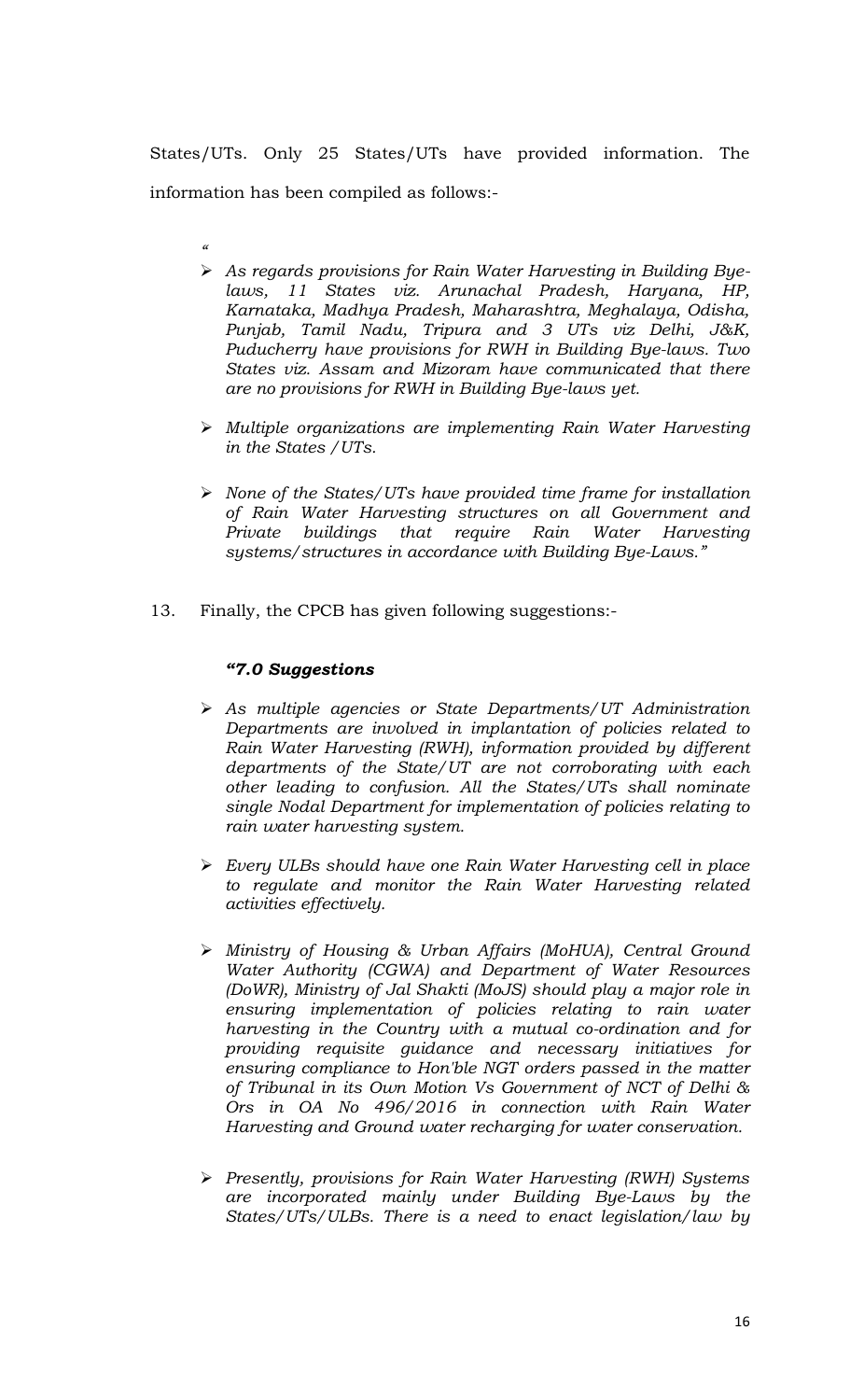States/UTs. Only 25 States/UTs have provided information. The information has been compiled as follows:-

- *"*
- *As regards provisions for Rain Water Harvesting in Building Byelaws, 11 States viz. Arunachal Pradesh, Haryana, HP, Karnataka, Madhya Pradesh, Maharashtra, Meghalaya, Odisha, Punjab, Tamil Nadu, Tripura and 3 UTs viz Delhi, J&K, Puducherry have provisions for RWH in Building Bye-laws. Two States viz. Assam and Mizoram have communicated that there are no provisions for RWH in Building Bye-laws yet.*
- *Multiple organizations are implementing Rain Water Harvesting in the States /UTs.*
- *None of the States/UTs have provided time frame for installation of Rain Water Harvesting structures on all Government and Private buildings that require Rain Water Harvesting systems/structures in accordance with Building Bye-Laws."*
- 13. Finally, the CPCB has given following suggestions:-

#### *"7.0 Suggestions*

- *As multiple agencies or State Departments/UT Administration Departments are involved in implantation of policies related to Rain Water Harvesting (RWH), information provided by different departments of the State/UT are not corroborating with each other leading to confusion. All the States/UTs shall nominate single Nodal Department for implementation of policies relating to rain water harvesting system.*
- *Every ULBs should have one Rain Water Harvesting cell in place to regulate and monitor the Rain Water Harvesting related activities effectively.*
- *Ministry of Housing & Urban Affairs (MoHUA), Central Ground Water Authority (CGWA) and Department of Water Resources (DoWR), Ministry of Jal Shakti (MoJS) should play a major role in ensuring implementation of policies relating to rain water harvesting in the Country with a mutual co-ordination and for providing requisite guidance and necessary initiatives for ensuring compliance to Hon'ble NGT orders passed in the matter of Tribunal in its Own Motion Vs Government of NCT of Delhi & Ors in OA No 496/2016 in connection with Rain Water Harvesting and Ground water recharging for water conservation.*
- *Presently, provisions for Rain Water Harvesting (RWH) Systems are incorporated mainly under Building Bye-Laws by the States/UTs/ULBs. There is a need to enact legislation/law by*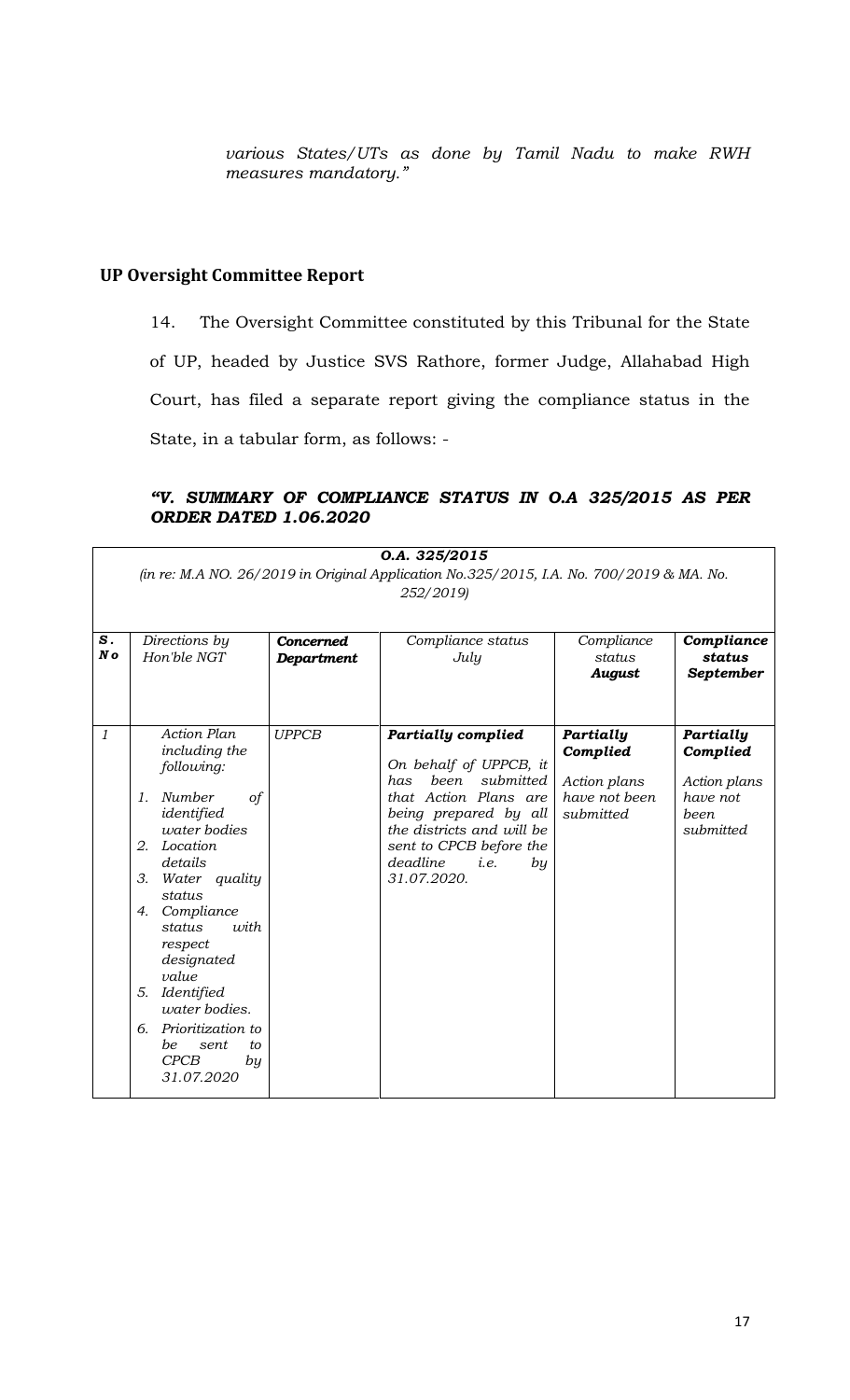*various States/UTs as done by Tamil Nadu to make RWH measures mandatory."*

#### **UP Oversight Committee Report**

14. The Oversight Committee constituted by this Tribunal for the State of UP, headed by Justice SVS Rathore, former Judge, Allahabad High Court, has filed a separate report giving the compliance status in the State, in a tabular form, as follows: -

#### *"V. SUMMARY OF COMPLIANCE STATUS IN O.A 325/2015 AS PER ORDER DATED 1.06.2020*

|                |                                                                                                                                                                                                                                                                                                                                                                     |                                       | O.A. 325/2015                                                                                                                                                                                                                      |                                                                     |                                                                         |  |  |  |  |  |  |  |
|----------------|---------------------------------------------------------------------------------------------------------------------------------------------------------------------------------------------------------------------------------------------------------------------------------------------------------------------------------------------------------------------|---------------------------------------|------------------------------------------------------------------------------------------------------------------------------------------------------------------------------------------------------------------------------------|---------------------------------------------------------------------|-------------------------------------------------------------------------|--|--|--|--|--|--|--|
|                | (in re: M.A NO. 26/2019 in Original Application No.325/2015, I.A. No. 700/2019 & MA. No.<br>252/2019)                                                                                                                                                                                                                                                               |                                       |                                                                                                                                                                                                                                    |                                                                     |                                                                         |  |  |  |  |  |  |  |
| S.<br>No       | Directions by<br>Hon'ble NGT                                                                                                                                                                                                                                                                                                                                        | <b>Concerned</b><br><b>Department</b> | Compliance status<br>July                                                                                                                                                                                                          | Compliance<br>status<br><b>August</b>                               | Compliance<br>status<br>September                                       |  |  |  |  |  |  |  |
| $\mathfrak{1}$ | <b>Action Plan</b><br>including the<br>following:<br>Number<br>of<br>1.<br>identified<br>water bodies<br>Location<br>2.<br>details<br>3.<br>Water quality<br>status<br>Compliance<br>4.<br><i>usith</i><br>status<br>respect<br>designated<br>value<br>Identified<br>5.<br>water bodies.<br>Prioritization to<br>б.<br>be<br>sent<br>to<br>CPCB<br>by<br>31.07.2020 | <b>UPPCB</b>                          | <b>Partially complied</b><br>On behalf of UPPCB, it<br>submitted<br>been<br>has<br>that Action Plans are<br>being prepared by all<br>the districts and will be<br>sent to CPCB before the<br>deadline<br>i.e.<br>by<br>31.07.2020. | Partially<br>Complied<br>Action plans<br>have not been<br>submitted | Partially<br>Complied<br>Action plans<br>have not<br>been.<br>submitted |  |  |  |  |  |  |  |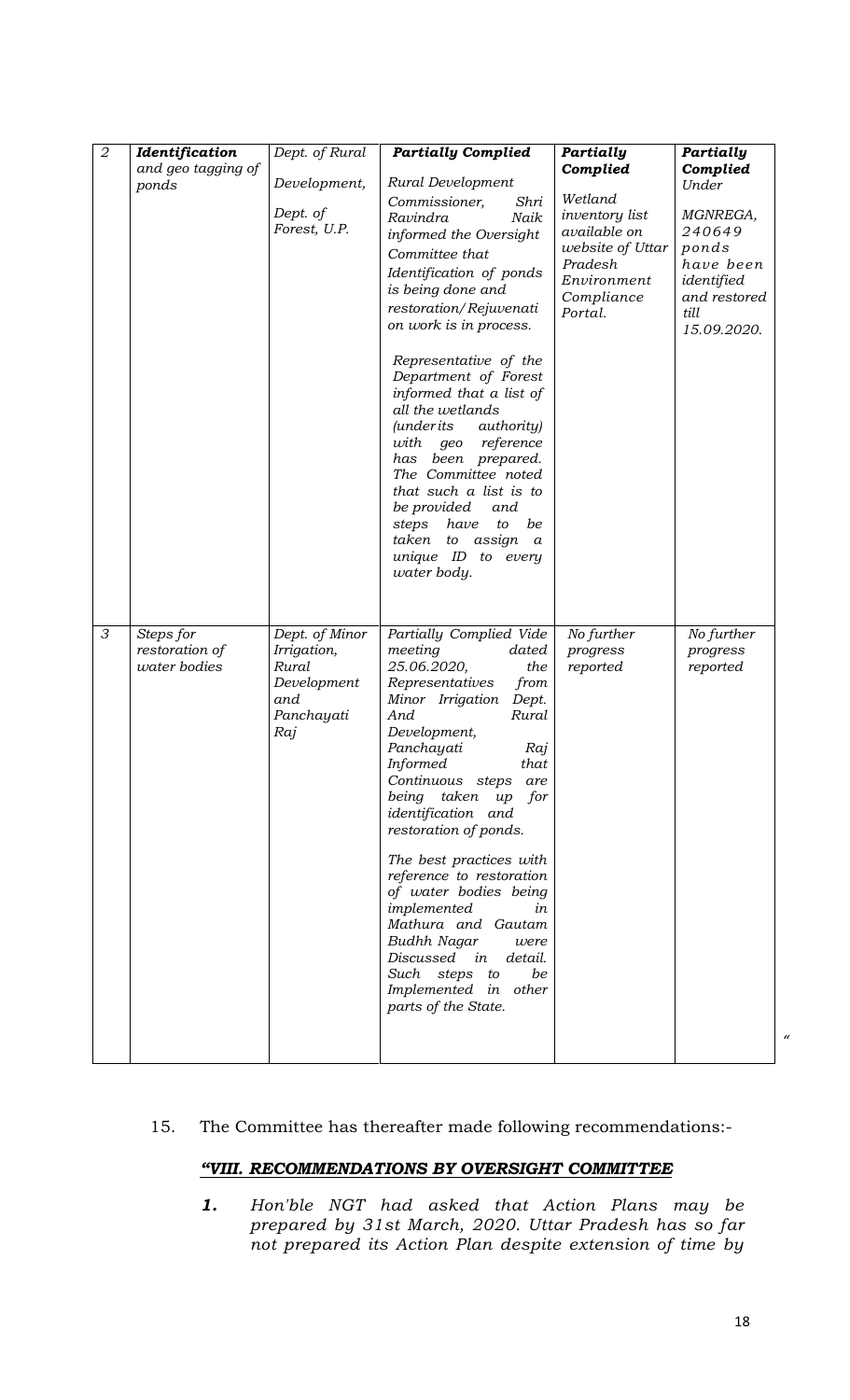| $\overline{2}$ | Identification                              | Dept. of Rural                                                                    | <b>Partially Complied</b>                                                                                                                                                                                                                                                                                                                                                                                                                                                                                                                                             | Partially                                                                                                               | Partially                                                                                     |
|----------------|---------------------------------------------|-----------------------------------------------------------------------------------|-----------------------------------------------------------------------------------------------------------------------------------------------------------------------------------------------------------------------------------------------------------------------------------------------------------------------------------------------------------------------------------------------------------------------------------------------------------------------------------------------------------------------------------------------------------------------|-------------------------------------------------------------------------------------------------------------------------|-----------------------------------------------------------------------------------------------|
|                | and geo tagging of                          |                                                                                   |                                                                                                                                                                                                                                                                                                                                                                                                                                                                                                                                                                       | Complied                                                                                                                | Complied                                                                                      |
|                | ponds                                       | Development,                                                                      | Rural Development                                                                                                                                                                                                                                                                                                                                                                                                                                                                                                                                                     |                                                                                                                         | Under                                                                                         |
|                |                                             | Dept. of<br>Forest, U.P.                                                          | Commissioner,<br>Shri<br>Ravindra<br>Naik<br>informed the Oversight<br>Committee that<br>Identification of ponds<br>is being done and<br>restoration/Rejuvenati<br>on work is in process.                                                                                                                                                                                                                                                                                                                                                                             | Wetland<br><i>inventory list</i><br>available on<br>website of Uttar<br>Pradesh<br>Environment<br>Compliance<br>Portal. | MGNREGA,<br>240649<br>ponds<br>have been<br>identified<br>and restored<br>till<br>15.09.2020. |
|                |                                             |                                                                                   | Representative of the<br>Department of Forest<br>informed that a list of<br>all the wetlands<br><i>authority</i> )<br><i>(underits)</i><br>reference<br>with<br>geo<br>has been prepared.<br>The Committee noted<br>that such a list is to<br>be provided<br>and<br>have<br>be<br>steps<br>to<br>taken<br>assign<br>to<br>$\boldsymbol{a}$<br>unique ID to every<br>water body.                                                                                                                                                                                       |                                                                                                                         |                                                                                               |
| 3              | Steps for<br>restoration of<br>water bodies | Dept. of Minor<br>Irrigation,<br>Rural<br>Development<br>and<br>Panchayati<br>Raj | Partially Complied Vide<br>meeting<br>dated<br>25.06.2020,<br>the<br>Representatives<br>from<br>Minor Irrigation<br>Dept.<br>Rural<br>And<br>Development,<br>Panchayati<br>Raj<br><i>Informed</i><br>that<br>Continuous steps<br>are<br>being<br>taken<br>up<br>for<br>identification and<br>restoration of ponds.<br>The best practices with<br>reference to restoration<br>of water bodies being<br>implemented<br>in<br>Mathura and Gautam<br>Budhh Nagar<br>were<br>Discussed in<br>detail.<br>Such steps to<br>be<br>Implemented in other<br>parts of the State. | No further<br>progress<br>reported                                                                                      | No further<br>progress<br>reported                                                            |

#### 15. The Committee has thereafter made following recommendations:-

#### *"VIII. RECOMMENDATIONS BY OVERSIGHT COMMITTEE*

*1. Hon'ble NGT had asked that Action Plans may be prepared by 31st March, 2020. Uttar Pradesh has so far not prepared its Action Plan despite extension of time by*  *"*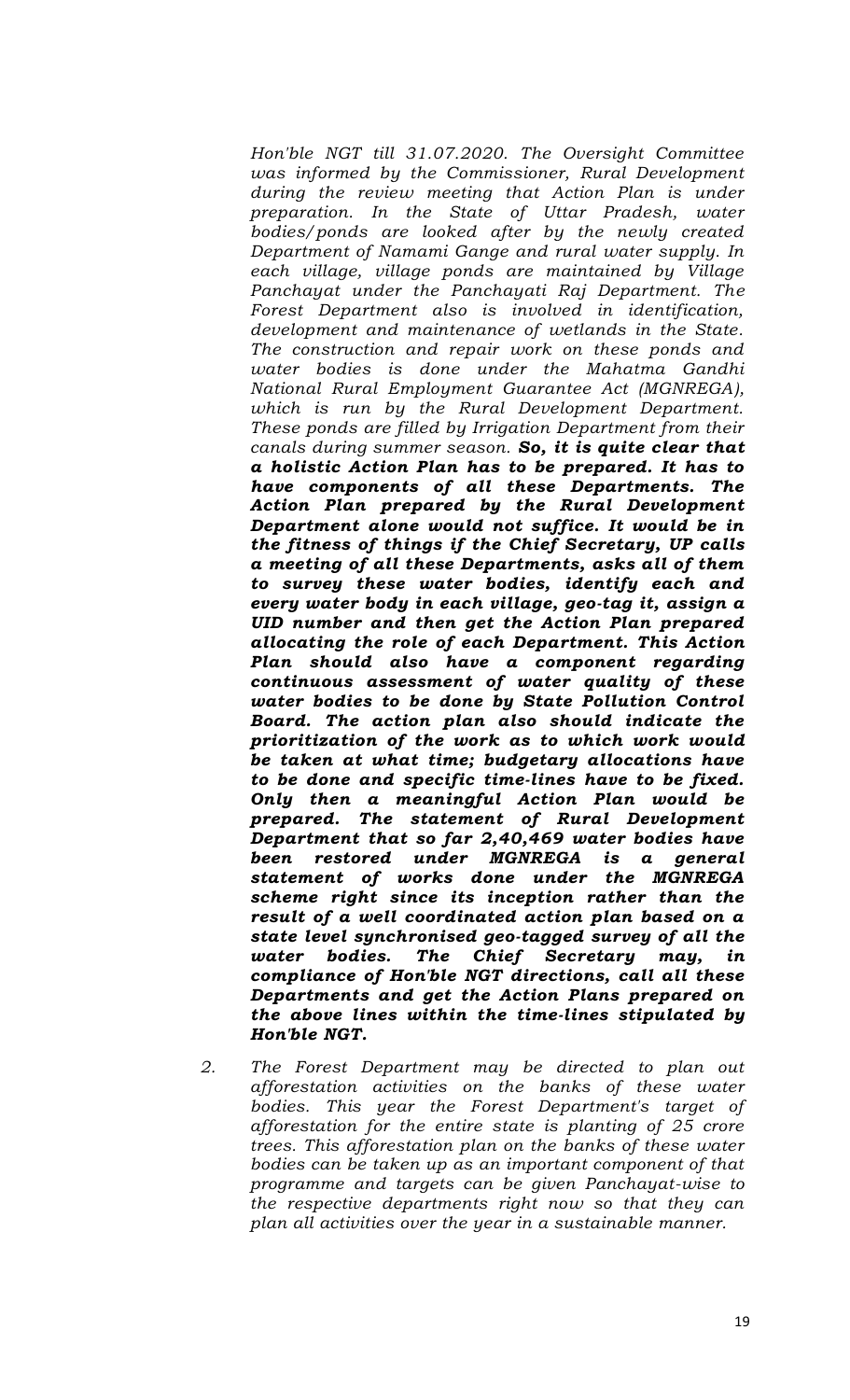*Hon'ble NGT till 31.07.2020. The Oversight Committee was informed by the Commissioner, Rural Development during the review meeting that Action Plan is under preparation. In the State of Uttar Pradesh, water bodies/ponds are looked after by the newly created Department of Namami Gange and rural water supply. In each village, village ponds are maintained by Village Panchayat under the Panchayati Raj Department. The Forest Department also is involved in identification, development and maintenance of wetlands in the State. The construction and repair work on these ponds and water bodies is done under the Mahatma Gandhi National Rural Employment Guarantee Act (MGNREGA), which is run by the Rural Development Department. These ponds are filled by Irrigation Department from their canals during summer season. So, it is quite clear that a holistic Action Plan has to be prepared. It has to have components of all these Departments. The Action Plan prepared by the Rural Development Department alone would not suffice. It would be in the fitness of things if the Chief Secretary, UP calls a meeting of all these Departments, asks all of them to survey these water bodies, identify each and every water body in each village, geo-tag it, assign a UID number and then get the Action Plan prepared allocating the role of each Department. This Action Plan should also have a component regarding continuous assessment of water quality of these water bodies to be done by State Pollution Control Board. The action plan also should indicate the prioritization of the work as to which work would be taken at what time; budgetary allocations have to be done and specific time-lines have to be fixed. Only then a meaningful Action Plan would be prepared. The statement of Rural Development Department that so far 2,40,469 water bodies have been restored under MGNREGA is a general statement of works done under the MGNREGA scheme right since its inception rather than the result of a well coordinated action plan based on a state level synchronised geo-tagged survey of all the water bodies. The Chief Secretary may, in compliance of Hon'ble NGT directions, call all these Departments and get the Action Plans prepared on the above lines within the time-lines stipulated by Hon'ble NGT.*

*2. The Forest Department may be directed to plan out afforestation activities on the banks of these water bodies. This year the Forest Department's target of afforestation for the entire state is planting of 25 crore trees. This afforestation plan on the banks of these water bodies can be taken up as an important component of that programme and targets can be given Panchayat-wise to the respective departments right now so that they can plan all activities over the year in a sustainable manner.*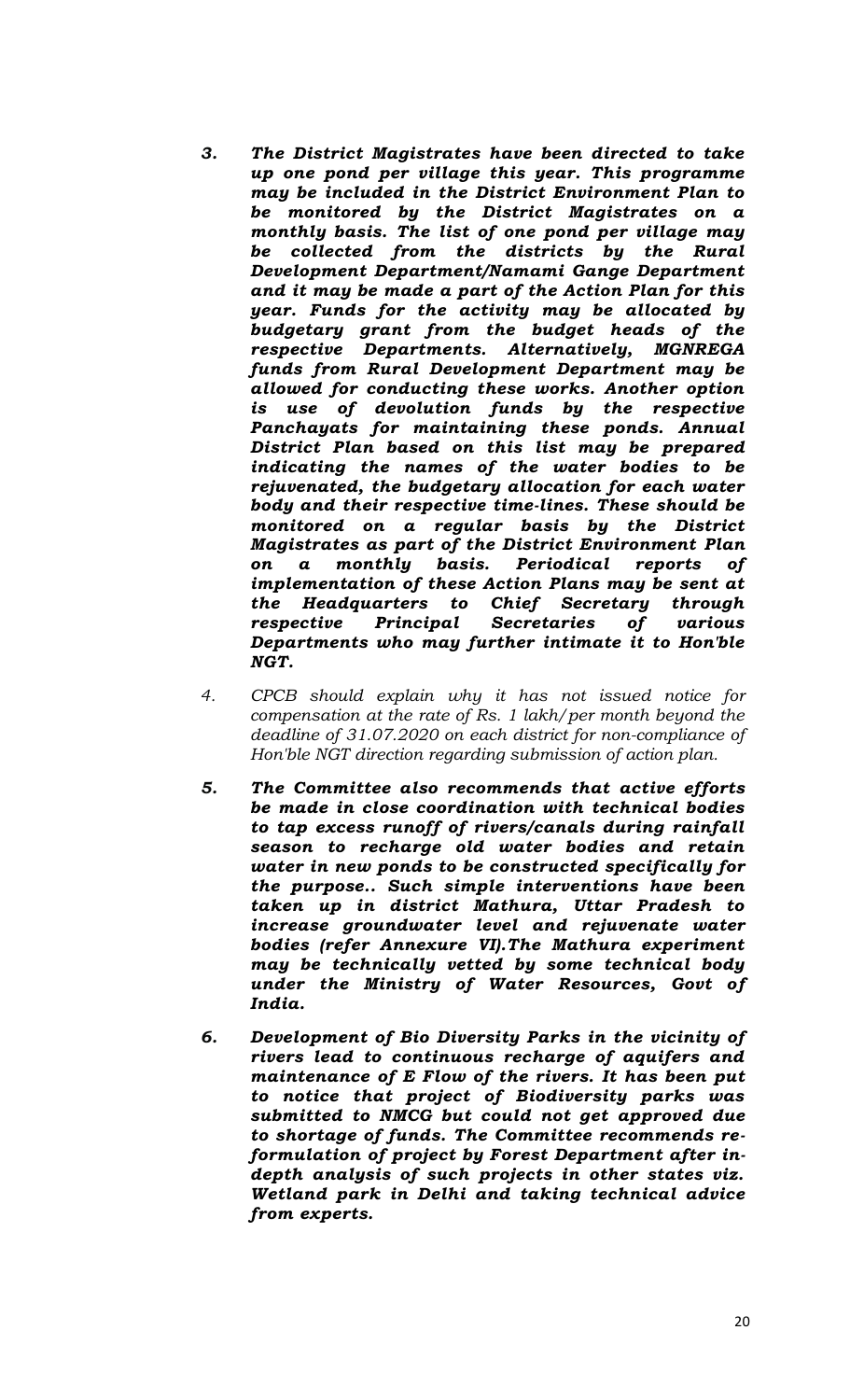- *3. The District Magistrates have been directed to take up one pond per village this year. This programme may be included in the District Environment Plan to be monitored by the District Magistrates on a monthly basis. The list of one pond per village may be collected from the districts by the Rural Development Department/Namami Gange Department and it may be made a part of the Action Plan for this year. Funds for the activity may be allocated by budgetary grant from the budget heads of the respective Departments. Alternatively, MGNREGA funds from Rural Development Department may be allowed for conducting these works. Another option is use of devolution funds by the respective Panchayats for maintaining these ponds. Annual District Plan based on this list may be prepared indicating the names of the water bodies to be rejuvenated, the budgetary allocation for each water body and their respective time-lines. These should be monitored on a regular basis by the District Magistrates as part of the District Environment Plan on a monthly basis. Periodical reports of implementation of these Action Plans may be sent at the Headquarters to Chief Secretary through respective Principal Secretaries of various Departments who may further intimate it to Hon'ble NGT.*
- *4. CPCB should explain why it has not issued notice for compensation at the rate of Rs. 1 lakh/per month beyond the deadline of 31.07.2020 on each district for non-compliance of Hon'ble NGT direction regarding submission of action plan.*
- *5. The Committee also recommends that active efforts be made in close coordination with technical bodies to tap excess runoff of rivers/canals during rainfall season to recharge old water bodies and retain water in new ponds to be constructed specifically for the purpose.. Such simple interventions have been taken up in district Mathura, Uttar Pradesh to increase groundwater level and rejuvenate water bodies (refer Annexure VI).The Mathura experiment may be technically vetted by some technical body under the Ministry of Water Resources, Govt of India.*
- *6. Development of Bio Diversity Parks in the vicinity of rivers lead to continuous recharge of aquifers and maintenance of E Flow of the rivers. It has been put to notice that project of Biodiversity parks was submitted to NMCG but could not get approved due to shortage of funds. The Committee recommends reformulation of project by Forest Department after indepth analysis of such projects in other states viz. Wetland park in Delhi and taking technical advice from experts.*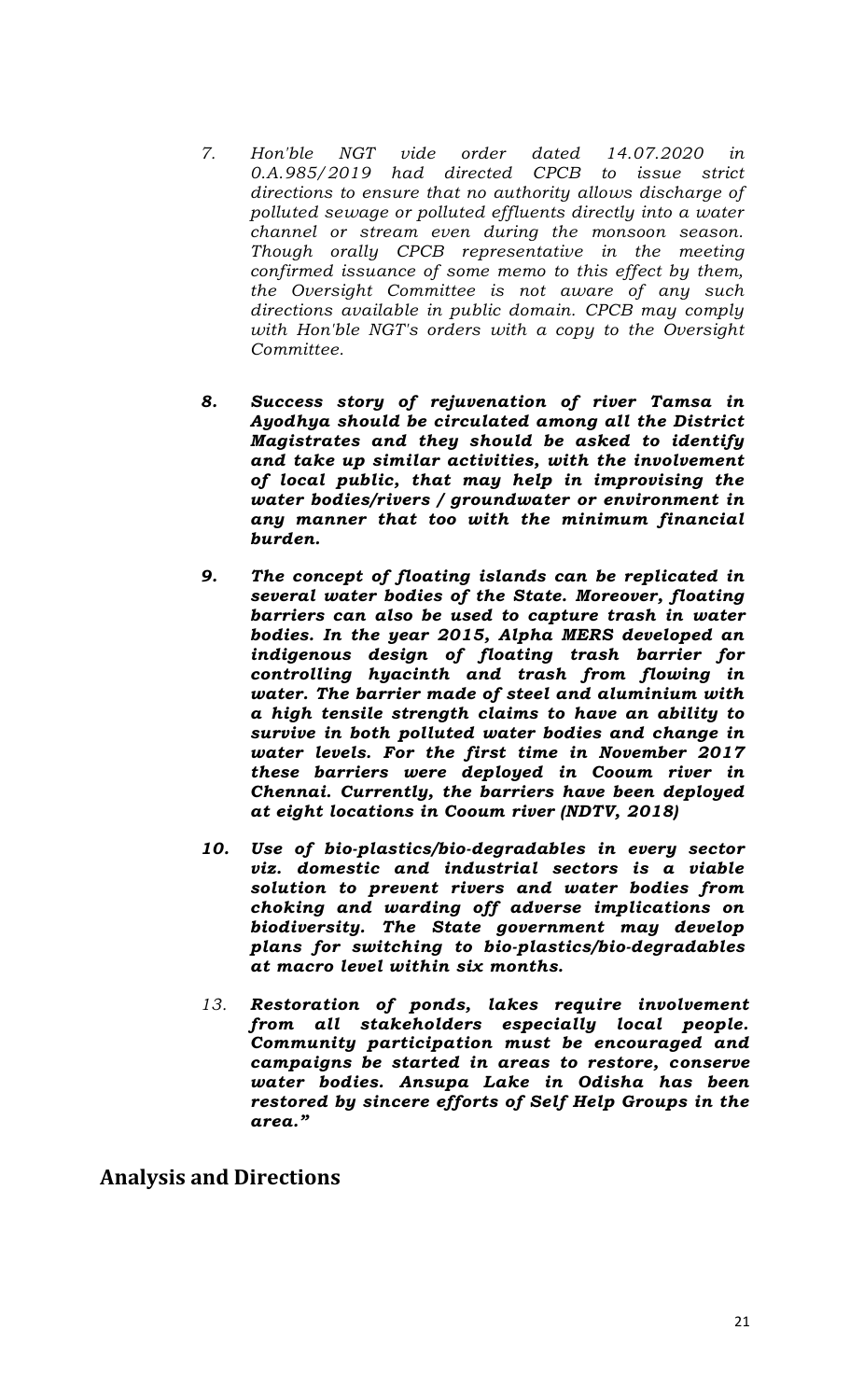- *7. Hon'ble NGT vide order dated 14.07.2020 in 0.A.985/2019 had directed CPCB to issue strict directions to ensure that no authority allows discharge of polluted sewage or polluted effluents directly into a water channel or stream even during the monsoon season. Though orally CPCB representative in the meeting confirmed issuance of some memo to this effect by them, the Oversight Committee is not aware of any such directions available in public domain. CPCB may comply with Hon'ble NGT's orders with a copy to the Oversight Committee.*
- *8. Success story of rejuvenation of river Tamsa in Ayodhya should be circulated among all the District Magistrates and they should be asked to identify and take up similar activities, with the involvement of local public, that may help in improvising the water bodies/rivers / groundwater or environment in any manner that too with the minimum financial burden.*
- *9. The concept of floating islands can be replicated in several water bodies of the State. Moreover, floating barriers can also be used to capture trash in water bodies. In the year 2015, Alpha MERS developed an indigenous design of floating trash barrier for controlling hyacinth and trash from flowing in water. The barrier made of steel and aluminium with a high tensile strength claims to have an ability to survive in both polluted water bodies and change in water levels. For the first time in November 2017 these barriers were deployed in Cooum river in Chennai. Currently, the barriers have been deployed at eight locations in Cooum river (NDTV, 2018)*
- *10. Use of bio-plastics/bio-degradables in every sector viz. domestic and industrial sectors is a viable solution to prevent rivers and water bodies from choking and warding off adverse implications on biodiversity. The State government may develop plans for switching to bio-plastics/bio-degradables at macro level within six months.*
- *13. Restoration of ponds, lakes require involvement from all stakeholders especially local people. Community participation must be encouraged and campaigns be started in areas to restore, conserve water bodies. Ansupa Lake in Odisha has been restored by sincere efforts of Self Help Groups in the area."*

**Analysis and Directions**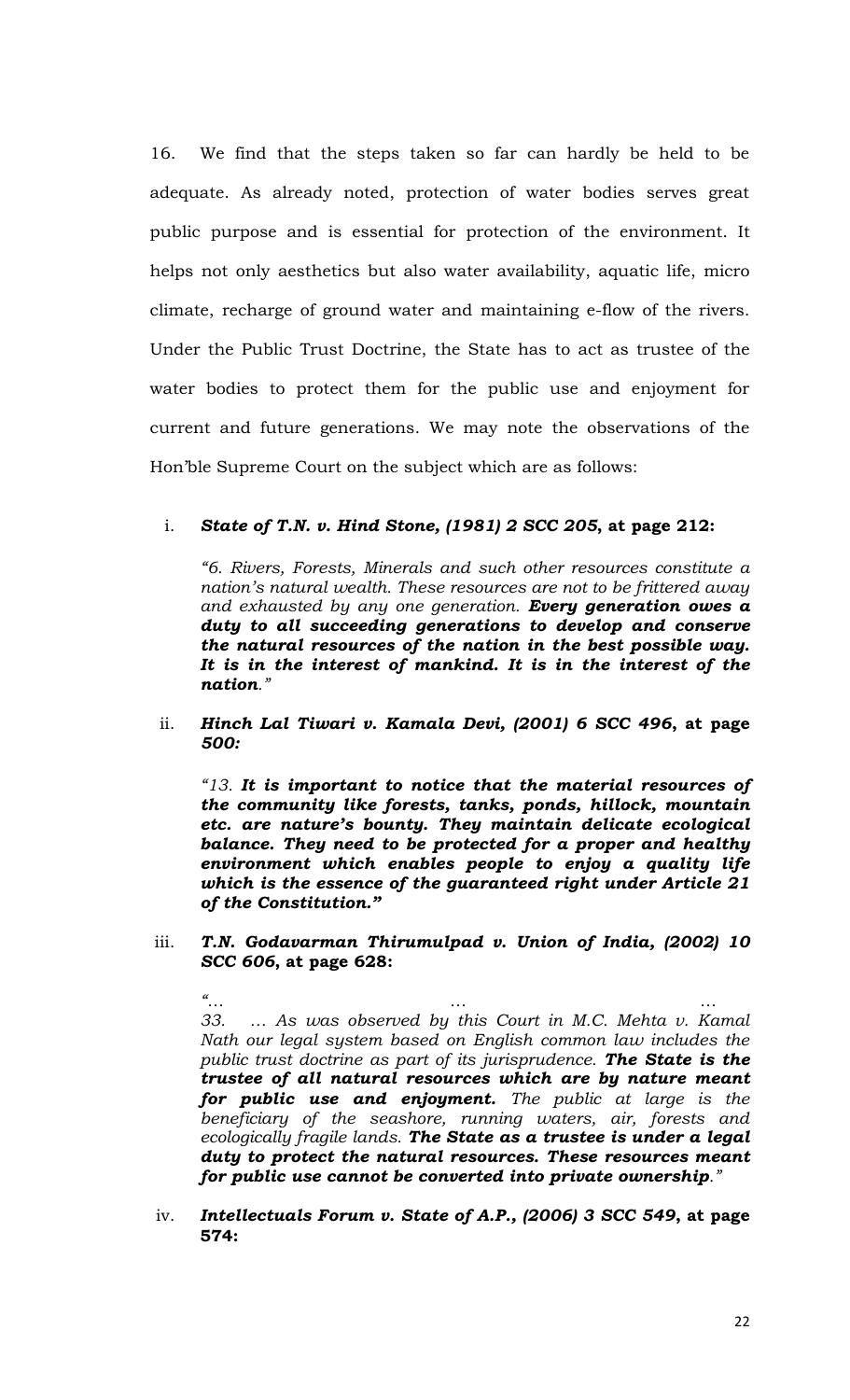16. We find that the steps taken so far can hardly be held to be adequate. As already noted, protection of water bodies serves great public purpose and is essential for protection of the environment. It helps not only aesthetics but also water availability, aquatic life, micro climate, recharge of ground water and maintaining e-flow of the rivers. Under the Public Trust Doctrine, the State has to act as trustee of the water bodies to protect them for the public use and enjoyment for current and future generations. We may note the observations of the Hon'ble Supreme Court on the subject which are as follows:

#### i. *State of T.N. v. Hind Stone, (1981) 2 SCC 205***, at page 212:**

*"6. Rivers, Forests, Minerals and such other resources constitute a nation's natural wealth. These resources are not to be frittered away and exhausted by any one generation. Every generation owes a duty to all succeeding generations to develop and conserve the natural resources of the nation in the best possible way. It is in the interest of mankind. It is in the interest of the nation."*

ii. *Hinch Lal Tiwari v. Kamala Devi, (2001) 6 SCC 496***, at page**  *500:*

*"13. It is important to notice that the material resources of the community like forests, tanks, ponds, hillock, mountain etc. are nature's bounty. They maintain delicate ecological balance. They need to be protected for a proper and healthy environment which enables people to enjoy a quality life which is the essence of the guaranteed right under Article 21 of the Constitution."* 

iii. *T.N. Godavarman Thirumulpad v. Union of India, (2002) 10 SCC 606***, at page 628:**

*"… … … 33. … As was observed by this Court in M.C. Mehta v. Kamal Nath our legal system based on English common law includes the public trust doctrine as part of its jurisprudence. The State is the trustee of all natural resources which are by nature meant for public use and enjoyment. The public at large is the beneficiary of the seashore, running waters, air, forests and ecologically fragile lands. The State as a trustee is under a legal duty to protect the natural resources. These resources meant for public use cannot be converted into private ownership."*

iv. *Intellectuals Forum v. State of A.P., (2006) 3 SCC 549***, at page 574:**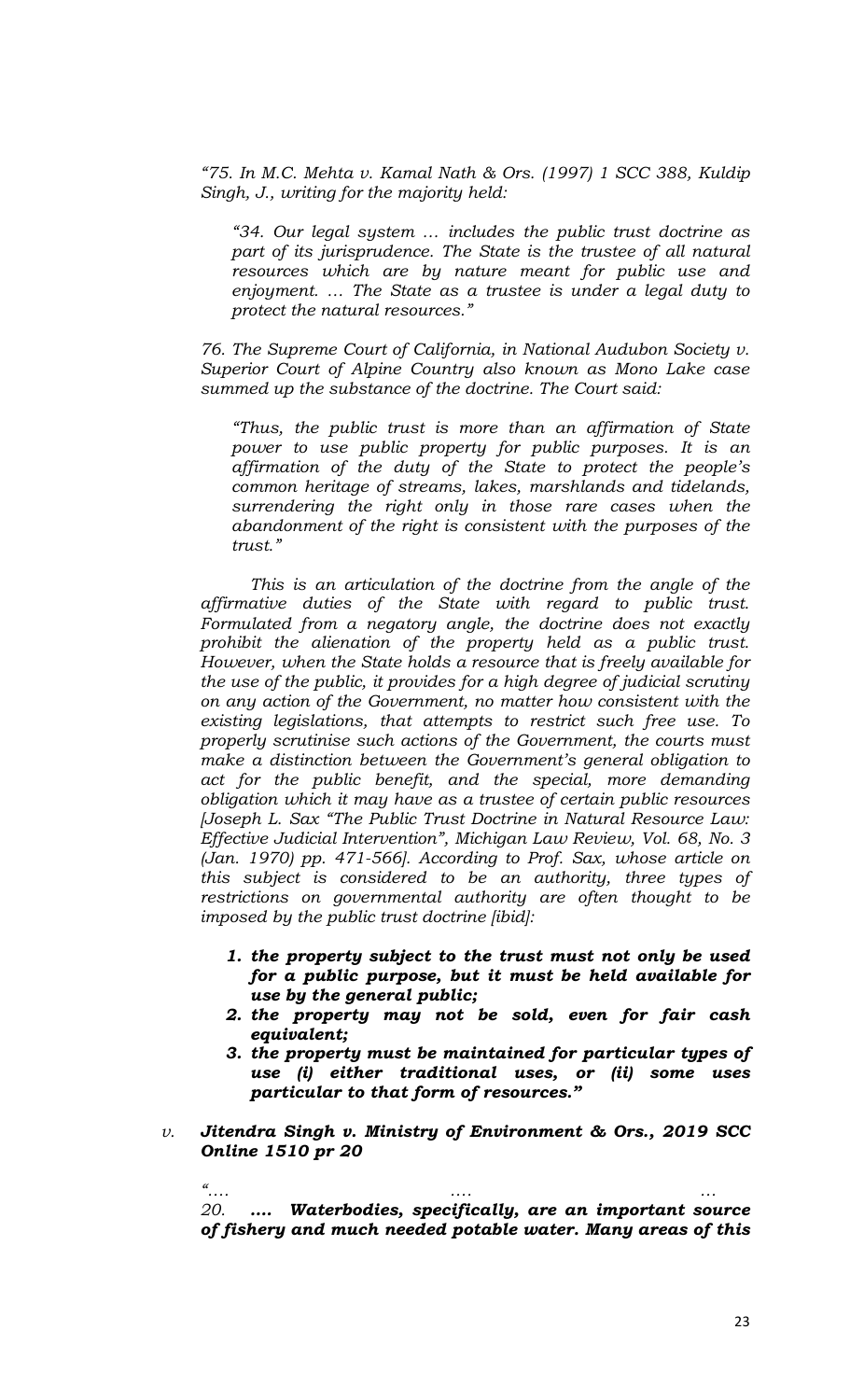*"75. In M.C. Mehta v. Kamal Nath & Ors. (1997) 1 SCC 388, Kuldip Singh, J., writing for the majority held:* 

*"34. Our legal system … includes the public trust doctrine as part of its jurisprudence. The State is the trustee of all natural resources which are by nature meant for public use and enjoyment. … The State as a trustee is under a legal duty to protect the natural resources."*

*76. The Supreme Court of California, in National Audubon Society v. Superior Court of Alpine Country also known as Mono Lake case summed up the substance of the doctrine. The Court said:*

*"Thus, the public trust is more than an affirmation of State power to use public property for public purposes. It is an affirmation of the duty of the State to protect the people's common heritage of streams, lakes, marshlands and tidelands, surrendering the right only in those rare cases when the abandonment of the right is consistent with the purposes of the trust."*

*This is an articulation of the doctrine from the angle of the affirmative duties of the State with regard to public trust. Formulated from a negatory angle, the doctrine does not exactly prohibit the alienation of the property held as a public trust. However, when the State holds a resource that is freely available for the use of the public, it provides for a high degree of judicial scrutiny on any action of the Government, no matter how consistent with the existing legislations, that attempts to restrict such free use. To properly scrutinise such actions of the Government, the courts must make a distinction between the Government's general obligation to act for the public benefit, and the special, more demanding obligation which it may have as a trustee of certain public resources [Joseph L. Sax "The Public Trust Doctrine in Natural Resource Law: Effective Judicial Intervention", Michigan Law Review, Vol. 68, No. 3 (Jan. 1970) pp. 471-566]. According to Prof. Sax, whose article on this subject is considered to be an authority, three types of restrictions on governmental authority are often thought to be imposed by the public trust doctrine [ibid]:*

- *1. the property subject to the trust must not only be used for a public purpose, but it must be held available for use by the general public;*
- *2. the property may not be sold, even for fair cash equivalent;*
- *3. the property must be maintained for particular types of use (i) either traditional uses, or (ii) some uses particular to that form of resources."*
- *v. Jitendra Singh v. Ministry of Environment & Ors., 2019 SCC Online 1510 pr 20*

*"…. …. … 20. …. Waterbodies, specifically, are an important source of fishery and much needed potable water. Many areas of this*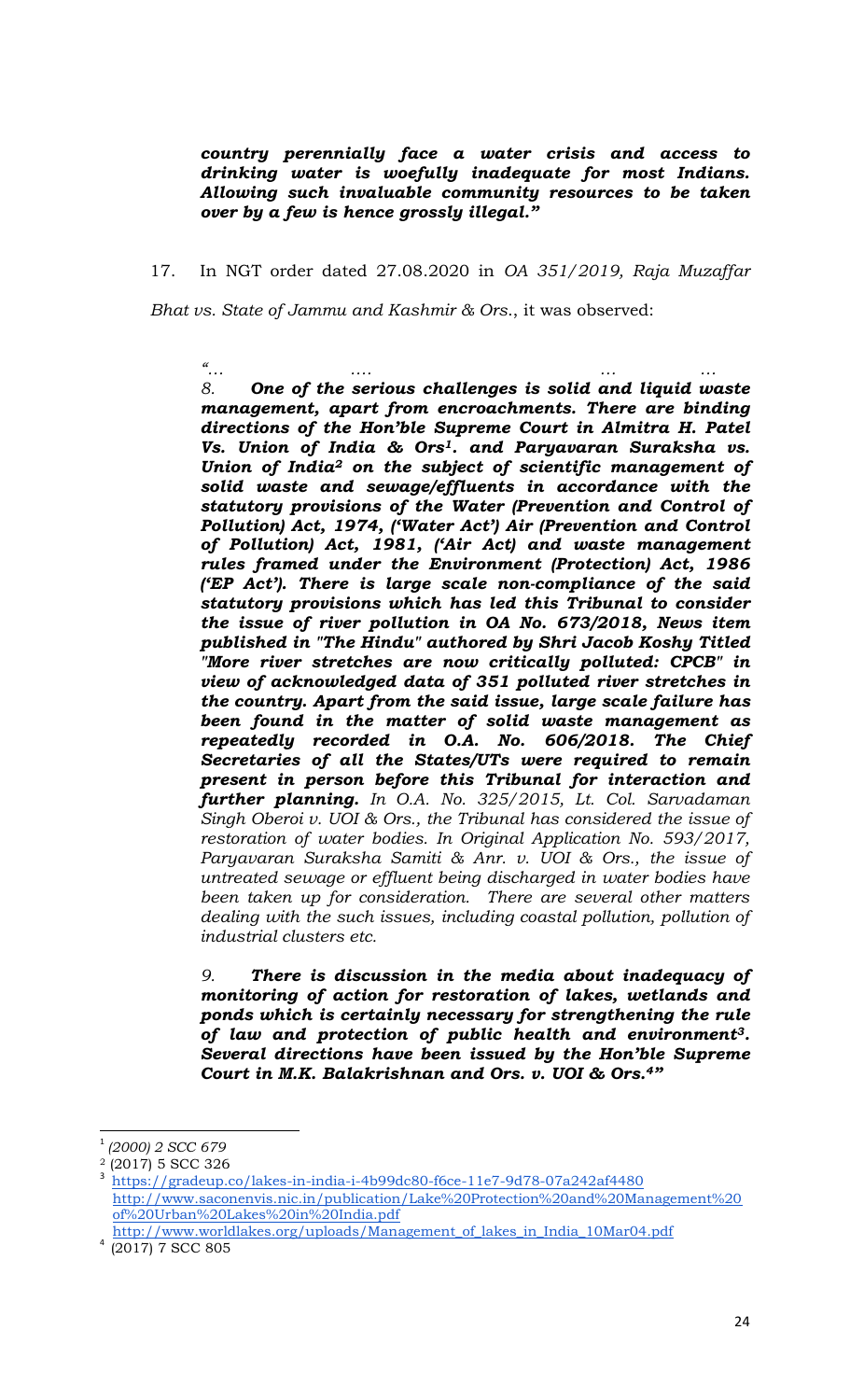*country perennially face a water crisis and access to drinking water is woefully inadequate for most Indians. Allowing such invaluable community resources to be taken over by a few is hence grossly illegal."*

17. In NGT order dated 27.08.2020 in *OA 351/2019, Raja Muzaffar* 

*Bhat vs. State of Jammu and Kashmir & Ors*., it was observed:

*"… …. … … 8. One of the serious challenges is solid and liquid waste management, apart from encroachments. There are binding directions of the Hon'ble Supreme Court in Almitra H. Patel Vs. Union of India & Ors1. and Paryavaran Suraksha vs. Union of India<sup>2</sup> on the subject of scientific management of solid waste and sewage/effluents in accordance with the statutory provisions of the Water (Prevention and Control of Pollution) Act, 1974, ('Water Act') Air (Prevention and Control of Pollution) Act, 1981, ('Air Act) and waste management rules framed under the Environment (Protection) Act, 1986 ('EP Act'). There is large scale non-compliance of the said statutory provisions which has led this Tribunal to consider the issue of river pollution in OA No. 673/2018, News item published in "The Hindu" authored by Shri Jacob Koshy Titled "More river stretches are now critically polluted: CPCB" in view of acknowledged data of 351 polluted river stretches in the country. Apart from the said issue, large scale failure has been found in the matter of solid waste management as repeatedly recorded in O.A. No. 606/2018. The Chief Secretaries of all the States/UTs were required to remain present in person before this Tribunal for interaction and further planning. In O.A. No. 325/2015, Lt. Col. Sarvadaman Singh Oberoi v. UOI & Ors., the Tribunal has considered the issue of restoration of water bodies. In Original Application No. 593/2017, Paryavaran Suraksha Samiti & Anr. v. UOI & Ors., the issue of untreated sewage or effluent being discharged in water bodies have been taken up for consideration. There are several other matters dealing with the such issues, including coastal pollution, pollution of industrial clusters etc.* 

*9. There is discussion in the media about inadequacy of monitoring of action for restoration of lakes, wetlands and ponds which is certainly necessary for strengthening the rule of law and protection of public health and environment3. Several directions have been issued by the Hon'ble Supreme Court in M.K. Balakrishnan and Ors. v. UOI & Ors.4"*

 $\overline{a}$ 

<sup>1</sup> *(2000) 2 SCC 679*

<sup>2</sup> (2017) 5 SCC 326

<sup>3</sup> <https://gradeup.co/lakes-in-india-i-4b99dc80-f6ce-11e7-9d78-07a242af4480> [http://www.saconenvis.nic.in/publication/Lake%20Protection%20and%20Management%20](http://www.saconenvis.nic.in/publication/Lake%20Protection%20and%20Management%20of%20Urban%20Lakes%20in%20India.pdf) [of%20Urban%20Lakes%20in%20India.pdf](http://www.saconenvis.nic.in/publication/Lake%20Protection%20and%20Management%20of%20Urban%20Lakes%20in%20India.pdf)

[http://www.worldlakes.org/uploads/Management\\_of\\_lakes\\_in\\_India\\_10Mar04.pdf](http://www.worldlakes.org/uploads/Management_of_lakes_in_India_10Mar04.pdf) 4 (2017) 7 SCC 805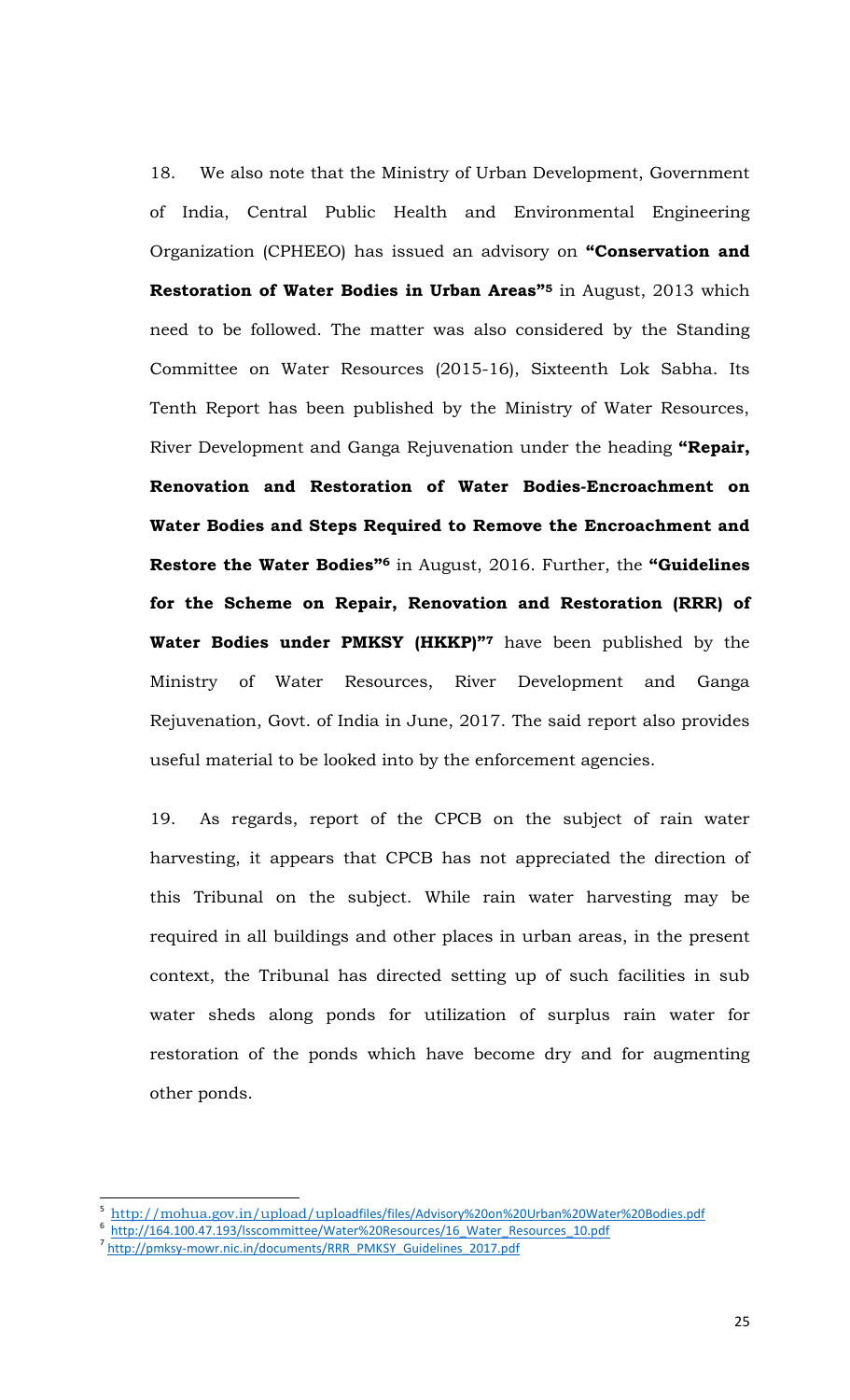18. We also note that the Ministry of Urban Development, Government of India, Central Public Health and Environmental Engineering Organization (CPHEEO) has issued an advisory on **"Conservation and Restoration of Water Bodies in Urban Areas"<sup>5</sup>** in August, 2013 which need to be followed. The matter was also considered by the Standing Committee on Water Resources (2015-16), Sixteenth Lok Sabha. Its Tenth Report has been published by the Ministry of Water Resources, River Development and Ganga Rejuvenation under the heading **"Repair, Renovation and Restoration of Water Bodies-Encroachment on Water Bodies and Steps Required to Remove the Encroachment and Restore the Water Bodies"<sup>6</sup>** in August, 2016. Further, the **"Guidelines for the Scheme on Repair, Renovation and Restoration (RRR) of Water Bodies under PMKSY (HKKP)"<sup>7</sup>** have been published by the Ministry of Water Resources, River Development and Ganga Rejuvenation, Govt. of India in June, 2017. The said report also provides useful material to be looked into by the enforcement agencies.

19. As regards, report of the CPCB on the subject of rain water harvesting, it appears that CPCB has not appreciated the direction of this Tribunal on the subject. While rain water harvesting may be required in all buildings and other places in urban areas, in the present context, the Tribunal has directed setting up of such facilities in sub water sheds along ponds for utilization of surplus rain water for restoration of the ponds which have become dry and for augmenting other ponds.

 $\overline{\phantom{a}}$ 

<sup>5</sup> http://mohua.gov.in/upload/upl[oadfiles/files/Advisory%20on%20Urban%20Water%20Bodies.pdf](http://mohua.gov.in/upload/uploadfiles/files/Advisory%20on%20Urban%20Water%20Bodies.pdf)

<sup>&</sup>lt;sup>6</sup> http://164.100.47.193/lsscommittee/Water%20Resources/16 Water Resources 10.pdf

<sup>&</sup>lt;sup>7</sup> [http://pmksy-mowr.nic.in/documents/RRR\\_PMKSY\\_Guidelines\\_2017.pdf](http://pmksy-mowr.nic.in/documents/RRR_PMKSY_Guidelines_2017.pdf)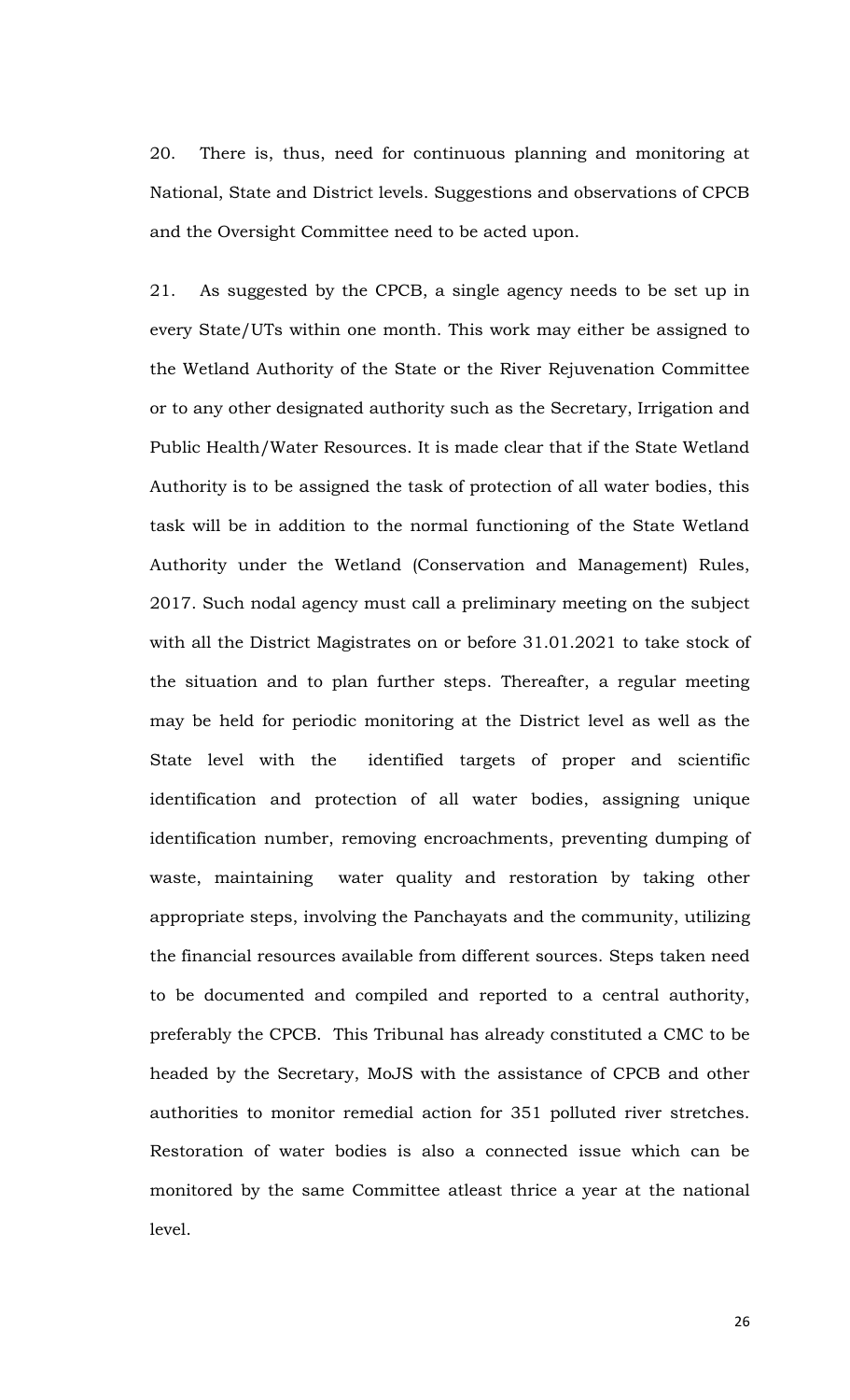20. There is, thus, need for continuous planning and monitoring at National, State and District levels. Suggestions and observations of CPCB and the Oversight Committee need to be acted upon.

21. As suggested by the CPCB, a single agency needs to be set up in every State/UTs within one month. This work may either be assigned to the Wetland Authority of the State or the River Rejuvenation Committee or to any other designated authority such as the Secretary, Irrigation and Public Health/Water Resources. It is made clear that if the State Wetland Authority is to be assigned the task of protection of all water bodies, this task will be in addition to the normal functioning of the State Wetland Authority under the Wetland (Conservation and Management) Rules, 2017. Such nodal agency must call a preliminary meeting on the subject with all the District Magistrates on or before 31.01.2021 to take stock of the situation and to plan further steps. Thereafter, a regular meeting may be held for periodic monitoring at the District level as well as the State level with the identified targets of proper and scientific identification and protection of all water bodies, assigning unique identification number, removing encroachments, preventing dumping of waste, maintaining water quality and restoration by taking other appropriate steps, involving the Panchayats and the community, utilizing the financial resources available from different sources. Steps taken need to be documented and compiled and reported to a central authority, preferably the CPCB. This Tribunal has already constituted a CMC to be headed by the Secretary, MoJS with the assistance of CPCB and other authorities to monitor remedial action for 351 polluted river stretches. Restoration of water bodies is also a connected issue which can be monitored by the same Committee atleast thrice a year at the national level.

26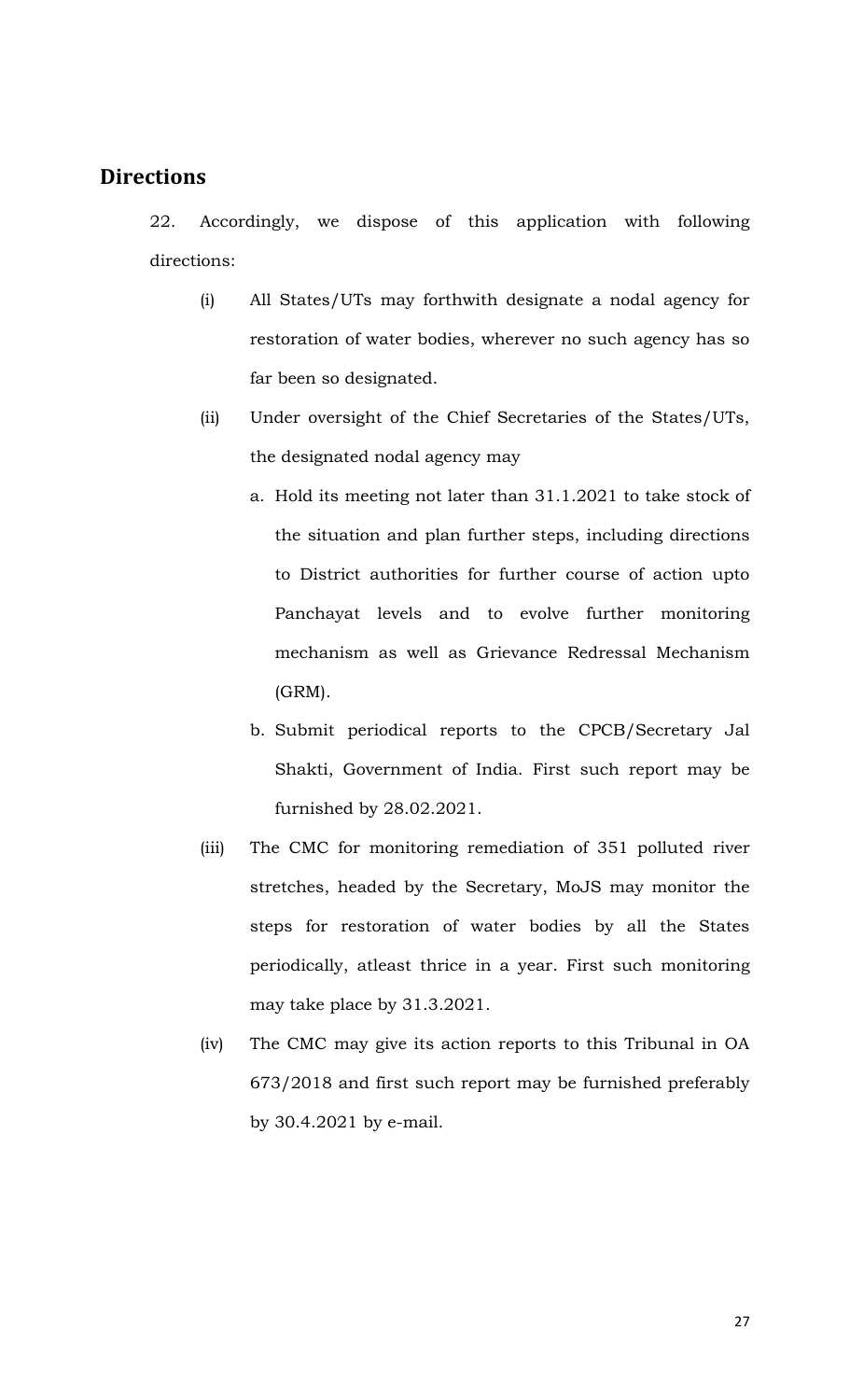## **Directions**

22. Accordingly, we dispose of this application with following directions:

- (i) All States/UTs may forthwith designate a nodal agency for restoration of water bodies, wherever no such agency has so far been so designated.
- (ii) Under oversight of the Chief Secretaries of the States/UTs, the designated nodal agency may
	- a. Hold its meeting not later than 31.1.2021 to take stock of the situation and plan further steps, including directions to District authorities for further course of action upto Panchayat levels and to evolve further monitoring mechanism as well as Grievance Redressal Mechanism (GRM).
	- b. Submit periodical reports to the CPCB/Secretary Jal Shakti, Government of India. First such report may be furnished by 28.02.2021.
- (iii) The CMC for monitoring remediation of 351 polluted river stretches, headed by the Secretary, MoJS may monitor the steps for restoration of water bodies by all the States periodically, atleast thrice in a year. First such monitoring may take place by 31.3.2021.
- (iv) The CMC may give its action reports to this Tribunal in OA 673/2018 and first such report may be furnished preferably by 30.4.2021 by e-mail.